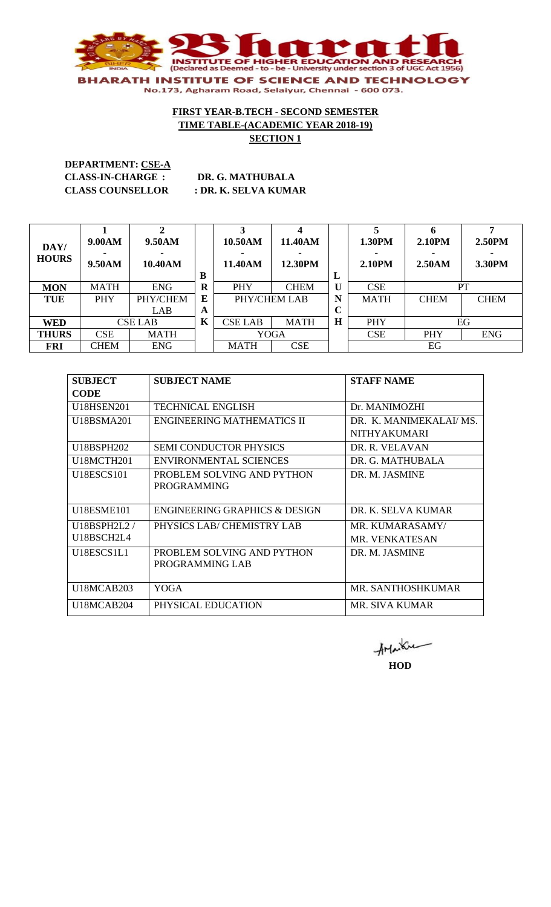

**DEPARTMENT: CSE-A CLASS-IN-CHARGE : DR. G. MATHUBALA CLASS COUNSELLOR : DR. K. SELVA KUMAR**

| DAY/<br><b>HOURS</b> | 9.00AM<br>9.50AM | 9.50AM<br>10.40AM | B       | ◠<br>10.50AM<br>11.40AM | 11.40AM<br>12.30PM | L       | 1.30PM<br><b>2.10PM</b> | 2.10PM<br>2.50AM | 2.50PM<br>3.30PM |
|----------------------|------------------|-------------------|---------|-------------------------|--------------------|---------|-------------------------|------------------|------------------|
| <b>MON</b>           | <b>MATH</b>      | <b>ENG</b>        | $\bf R$ | PHY                     | <b>CHEM</b>        | $\bf U$ | <b>CSE</b>              |                  | PT               |
| <b>TUE</b>           | <b>PHY</b>       | PHY/CHEM          | E       |                         | PHY/CHEM LAB       | N       | <b>MATH</b>             | <b>CHEM</b>      | <b>CHEM</b>      |
|                      |                  | LAB               | A       |                         |                    | $\sim$  |                         |                  |                  |
| <b>WED</b>           |                  | <b>CSE LAB</b>    | K       | <b>CSE LAB</b>          | <b>MATH</b>        | H       | PHY                     |                  | EG               |
| <b>THURS</b>         | <b>CSE</b>       | <b>MATH</b>       |         |                         | <b>YOGA</b>        |         | <b>CSE</b>              | PHY              | <b>ENG</b>       |
| <b>FRI</b>           | <b>CHEM</b>      | <b>ENG</b>        |         | <b>MATH</b>             | <b>CSE</b>         |         |                         | EG               |                  |

| <b>SUBJECT</b>                      | <b>SUBJECT NAME</b>                      | <b>STAFF NAME</b>      |
|-------------------------------------|------------------------------------------|------------------------|
| <b>CODE</b>                         |                                          |                        |
| U18HSEN201                          | <b>TECHNICAL ENGLISH</b>                 | Dr. MANIMOZHI          |
| U18BSMA201                          | ENGINEERING MATHEMATICS II               | DR. K. MANIMEKALAI/MS. |
|                                     |                                          | <b>NITHYAKUMARI</b>    |
| U18BSPH202                          | <b>SEMI CONDUCTOR PHYSICS</b>            | DR. R. VELAVAN         |
| U <sub>18</sub> MCTH <sub>201</sub> | <b>ENVIRONMENTAL SCIENCES</b>            | DR. G. MATHUBALA       |
| <b>U18ESCS101</b>                   | PROBLEM SOLVING AND PYTHON               | DR. M. JASMINE         |
|                                     | <b>PROGRAMMING</b>                       |                        |
|                                     |                                          |                        |
| <b>U18ESME101</b>                   | <b>ENGINEERING GRAPHICS &amp; DESIGN</b> | DR. K. SELVA KUMAR     |
| U18BSPH2L2/                         | PHYSICS LAB/ CHEMISTRY LAB               | MR. KUMARASAMY/        |
| U18BSCH2L4                          |                                          | <b>MR. VENKATESAN</b>  |
| U18ESCS1L1                          | PROBLEM SOLVING AND PYTHON               | DR. M. JASMINE         |
|                                     | PROGRAMMING LAB                          |                        |
|                                     |                                          |                        |
| <b>U18MCAB203</b>                   | <b>YOGA</b>                              | MR. SANTHOSHKUMAR      |
| U <sub>18</sub> MCAB <sub>204</sub> | PHYSICAL EDUCATION                       | MR. SIVA KUMAR         |

AMarku **HOD**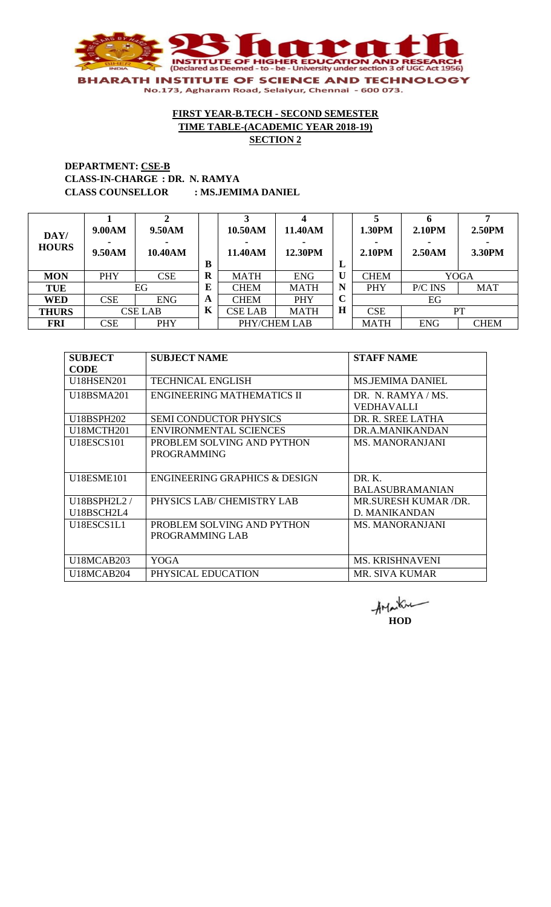

## **DEPARTMENT: CSE-B CLASS-IN-CHARGE : DR. N. RAMYA CLASS COUNSELLOR : MS.JEMIMA DANIEL**

| DAY/<br><b>HOURS</b> | 9.00AM<br>9.50AM | 9.50AM<br>10.40AM | в | 10.50AM<br>11.40AM | 11.40AM<br>12.30PM | L           | 1.30PM<br>2.10PM | <b>2.10PM</b><br>2.50AM | 2.50PM<br>3.30PM |
|----------------------|------------------|-------------------|---|--------------------|--------------------|-------------|------------------|-------------------------|------------------|
| <b>MON</b>           | <b>PHY</b>       | CSE               | R | <b>MATH</b>        | <b>ENG</b>         | U           | <b>CHEM</b>      |                         | <b>YOGA</b>      |
| <b>TUE</b>           |                  | EG                | E | <b>CHEM</b>        | <b>MATH</b>        | N           | PHY              | P/C INS                 | <b>MAT</b>       |
| <b>WED</b>           | <b>CSE</b>       | <b>ENG</b>        | A | <b>CHEM</b>        | <b>PHY</b>         | $\mathbf C$ |                  | EG                      |                  |
| <b>THURS</b>         |                  | <b>CSE LAB</b>    | K | <b>CSE LAB</b>     | <b>MATH</b>        | Н           | <b>CSE</b>       |                         | PT               |
| <b>FRI</b>           | <b>CSE</b>       | <b>PHY</b>        |   |                    | PHY/CHEM LAB       |             | <b>MATH</b>      | <b>ENG</b>              | <b>CHEM</b>      |

| <b>SUBJECT</b>                      | <b>SUBJECT NAME</b>                      | <b>STAFF NAME</b>           |
|-------------------------------------|------------------------------------------|-----------------------------|
| <b>CODE</b>                         |                                          |                             |
| <b>U18HSEN201</b>                   | TECHNICAL ENGLISH                        | <b>MS JEMIMA DANIEL</b>     |
| U18BSMA201                          | <b>ENGINEERING MATHEMATICS II</b>        | DR. N. RAMYA / MS.          |
|                                     |                                          | VEDHAVALLI                  |
| U18BSPH202                          | <b>SEMI CONDUCTOR PHYSICS</b>            | DR. R. SREE LATHA           |
| U <sub>18</sub> MCTH <sub>201</sub> | <b>ENVIRONMENTAL SCIENCES</b>            | DR.A.MANIKANDAN             |
| <b>U18ESCS101</b>                   | PROBLEM SOLVING AND PYTHON               | <b>MS. MANORANJANI</b>      |
|                                     | <b>PROGRAMMING</b>                       |                             |
|                                     |                                          |                             |
| U18ESME101                          | <b>ENGINEERING GRAPHICS &amp; DESIGN</b> | DR. K.                      |
|                                     |                                          | <b>BALASUBRAMANIAN</b>      |
| U18BSPH2L2/                         | PHYSICS LAB/ CHEMISTRY LAB               | <b>MR.SURESH KUMAR /DR.</b> |
| U18BSCH2L4                          |                                          | D. MANIKANDAN               |
| U18ESCS1L1                          | PROBLEM SOLVING AND PYTHON               | <b>MS. MANORANJANI</b>      |
|                                     | PROGRAMMING LAB                          |                             |
|                                     |                                          |                             |
| U <sub>18</sub> MCAB <sub>203</sub> | YOGA                                     | <b>MS. KRISHNAVENI</b>      |
| U <sub>18</sub> MCAB <sub>204</sub> | PHYSICAL EDUCATION                       | MR. SIVA KUMAR              |

AMarkin **HOD**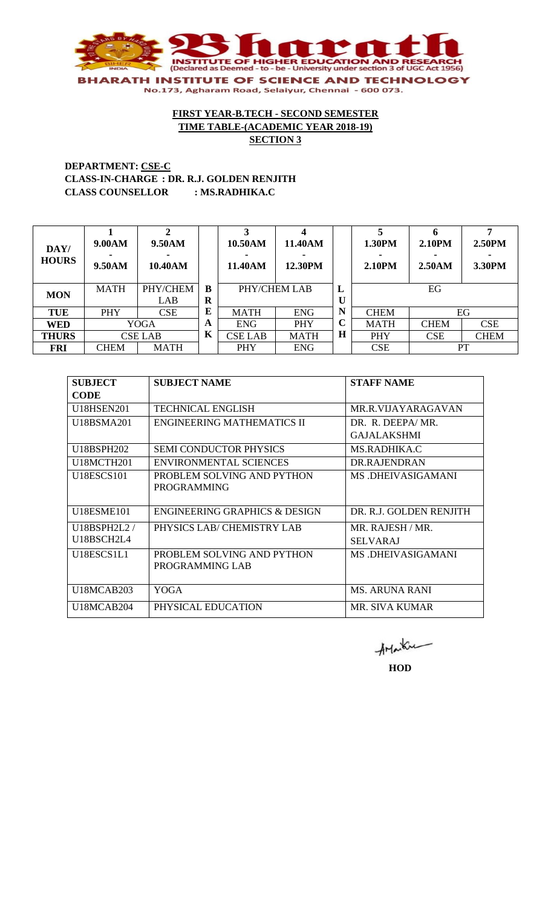

# **DEPARTMENT: CSE-C CLASS-IN-CHARGE : DR. R.J. GOLDEN RENJITH CLASS COUNSELLOR : MS.RADHIKA.C**

| DAY/<br><b>HOURS</b> | 9.00AM<br>9.50AM | 9.50AM<br>10.40AM |        | 10.50AM<br>11.40AM | 11.40AM<br>12.30PM |             | 1.30PM<br>2.10PM | 2.10PM<br>2.50AM | 2.50PM<br>3.30PM |
|----------------------|------------------|-------------------|--------|--------------------|--------------------|-------------|------------------|------------------|------------------|
| <b>MON</b>           | <b>MATH</b>      | PHY/CHEM<br>LAB   | B<br>R |                    | PHY/CHEM LAB       | L<br>Ù      |                  | EG               |                  |
| TUE                  | <b>PHY</b>       | <b>CSE</b>        | E      | <b>MATH</b>        | <b>ENG</b>         | N           | <b>CHEM</b>      |                  | EG               |
| <b>WED</b>           |                  | YOGA<br>A         |        | <b>ENG</b>         | <b>PHY</b>         | $\mathbf C$ | <b>MATH</b>      | <b>CHEM</b>      | <b>CSE</b>       |
| <b>THURS</b>         |                  | <b>CSE LAB</b>    | K      | <b>CSE LAB</b>     | <b>MATH</b>        | Н           | PHY              | <b>CSE</b>       | <b>CHEM</b>      |
| <b>FRI</b>           | <b>CHEM</b>      | <b>MATH</b>       |        | <b>PHY</b>         | <b>ENG</b>         |             | <b>CSE</b>       |                  | PT               |

| <b>SUBJECT</b>                      | <b>SUBJECT NAME</b>                      | <b>STAFF NAME</b>       |
|-------------------------------------|------------------------------------------|-------------------------|
| <b>CODE</b>                         |                                          |                         |
| <b>U18HSEN201</b>                   | <b>TECHNICAL ENGLISH</b>                 | MR.R.VIJAYARAGAVAN      |
| U18BSMA201                          | <b>ENGINEERING MATHEMATICS II</b>        | DR. R. DEEPA/MR.        |
|                                     |                                          | GAJALAKSHMI             |
| <b>U18BSPH202</b>                   | <b>SEMI CONDUCTOR PHYSICS</b>            | <b>MS.RADHIKA.C</b>     |
| U <sub>18</sub> MCTH <sub>201</sub> | <b>ENVIRONMENTAL SCIENCES</b>            | DR.RAJENDRAN            |
| U18ESCS101                          | PROBLEM SOLVING AND PYTHON               | MS .DHEIVASIGAMANI      |
|                                     | <b>PROGRAMMING</b>                       |                         |
|                                     |                                          |                         |
| <b>U18ESME101</b>                   | <b>ENGINEERING GRAPHICS &amp; DESIGN</b> | DR. R.J. GOLDEN RENJITH |
| U18BSPH2L2/                         | PHYSICS LAB/ CHEMISTRY LAB               | MR. RAJESH / MR.        |
| <b>U18BSCH2L4</b>                   |                                          | <b>SELVARAJ</b>         |
| U18ESCS1L1                          | PROBLEM SOLVING AND PYTHON               | MS .DHEIVASIGAMANI      |
|                                     | PROGRAMMING LAB                          |                         |
|                                     |                                          |                         |
| <b>U18MCAB203</b>                   | <b>YOGA</b>                              | <b>MS. ARUNA RANI</b>   |
| U <sub>18</sub> MCAB <sub>204</sub> | PHYSICAL EDUCATION                       | MR. SIVA KUMAR          |

AMarku

**HOD**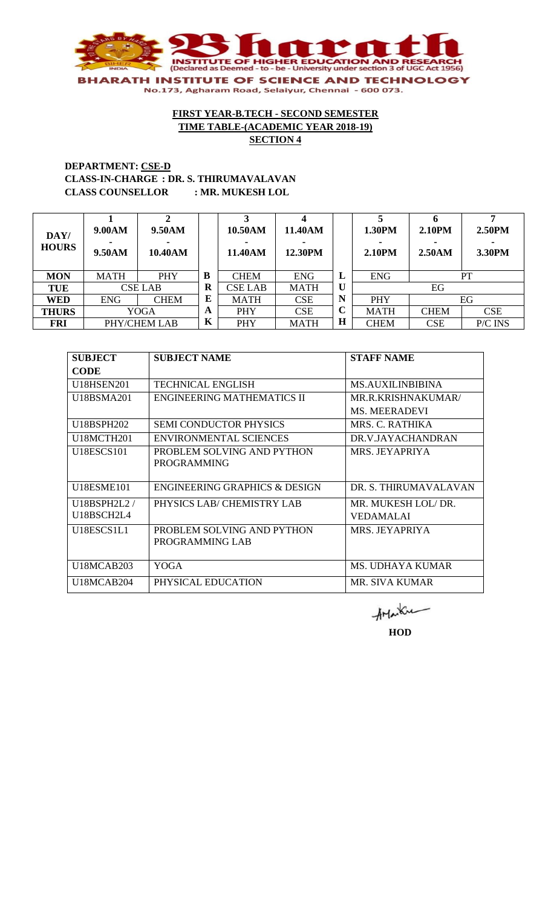

## **DEPARTMENT: CSE-D CLASS-IN-CHARGE : DR. S. THIRUMAVALAVAN CLASS COUNSELLOR : MR. MUKESH LOL**

| DAY/<br><b>HOURS</b> | 9.00AM<br>9.50AM | 9.50AM<br>10.40AM |   | 10.50AM<br>11.40AM | 11.40AM<br>12.30PM |        | 1.30PM<br>2.10PM | 2.10PM<br>2.50AM | 2.50PM<br>3.30PM |
|----------------------|------------------|-------------------|---|--------------------|--------------------|--------|------------------|------------------|------------------|
| <b>MON</b>           | <b>MATH</b>      | PHY               | B | <b>CHEM</b>        | <b>ENG</b>         | L      | <b>ENG</b>       |                  | PT               |
| TUE                  |                  | <b>CSE LAB</b>    | R | <b>CSE LAB</b>     | <b>MATH</b>        | U      |                  | EG               |                  |
| <b>WED</b>           | <b>ENG</b>       | <b>CHEM</b>       | E | <b>MATH</b>        | <b>CSE</b>         | N      | <b>PHY</b>       | EG               |                  |
| <b>THURS</b>         |                  | YOGA              | A | <b>PHY</b>         | <b>CSE</b>         | ⌒<br>U | <b>MATH</b>      | <b>CHEM</b>      | <b>CSE</b>       |
| <b>FRI</b>           |                  | PHY/CHEM LAB      | K | PHY                | <b>MATH</b>        | Н      | <b>CHEM</b>      | <b>CSE</b>       | P/C INS          |

| <b>SUBJECT</b>                      | <b>SUBJECT NAME</b>                      | <b>STAFF NAME</b>       |
|-------------------------------------|------------------------------------------|-------------------------|
| <b>CODE</b>                         |                                          |                         |
| <b>U18HSEN201</b>                   | <b>TECHNICAL ENGLISH</b>                 | <b>MS.AUXILINBIBINA</b> |
| U18BSMA201                          | <b>ENGINEERING MATHEMATICS II</b>        | MR.R.KRISHNAKUMAR/      |
|                                     |                                          | <b>MS. MEERADEVI</b>    |
| U18BSPH202                          | <b>SEMI CONDUCTOR PHYSICS</b>            | MRS. C. RATHIKA         |
| <b>U18MCTH201</b>                   | <b>ENVIRONMENTAL SCIENCES</b>            | DR.V.JAYACHANDRAN       |
| <b>U18ESCS101</b>                   | PROBLEM SOLVING AND PYTHON               | MRS. JEYAPRIYA          |
|                                     | <b>PROGRAMMING</b>                       |                         |
|                                     |                                          |                         |
| <b>U18ESME101</b>                   | <b>ENGINEERING GRAPHICS &amp; DESIGN</b> | DR. S. THIRUMAVALAVAN   |
| U18BSPH2L2/                         | PHYSICS LAB/ CHEMISTRY LAB               | MR. MUKESH LOL/ DR.     |
| U18BSCH2L4                          |                                          | <b>VEDAMALAI</b>        |
| U18ESCS1L1                          | PROBLEM SOLVING AND PYTHON               | MRS. JEYAPRIYA          |
|                                     | PROGRAMMING LAB                          |                         |
|                                     |                                          |                         |
| U <sub>18</sub> MCAB <sub>203</sub> | YOGA                                     | MS. UDHAYA KUMAR        |
| U18MCAB204                          | PHYSICAL EDUCATION                       | MR. SIVA KUMAR          |

AMarku **HOD**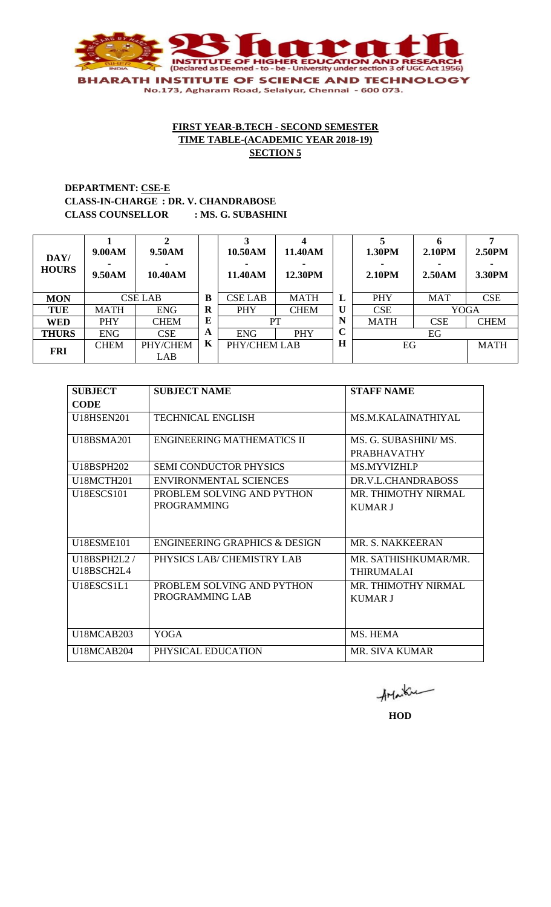

## **DEPARTMENT: CSE-E CLASS-IN-CHARGE : DR. V. CHANDRABOSE CLASS COUNSELLOR : MS. G. SUBASHINI**

| DAY/<br><b>HOURS</b> | 9.00AM<br>9.50AM | 9.50AM<br>10.40AM |   | 10.50AM<br>11.40AM       | 11.40AM<br>12.30PM |         | 1.30PM<br><b>2.10PM</b>   | h<br><b>2.10PM</b><br>2.50AM | 2.50PM<br>3.30PM |
|----------------------|------------------|-------------------|---|--------------------------|--------------------|---------|---------------------------|------------------------------|------------------|
| <b>MON</b>           | <b>CSE LAB</b>   |                   | B | <b>CSE LAB</b>           | <b>MATH</b>        | L       | <b>PHY</b>                | <b>MAT</b>                   | <b>CSE</b>       |
| <b>TUE</b>           | MATH             | <b>ENG</b>        | R | <b>PHY</b>               | <b>CHEM</b>        | U       | <b>CSE</b>                | <b>YOGA</b>                  |                  |
| WED                  | <b>PHY</b>       | <b>CHEM</b>       | E |                          | PT                 | N       | <b>MATH</b><br><b>CSE</b> |                              | <b>CHEM</b>      |
| <b>THURS</b>         | <b>ENG</b>       | <b>CSE</b>        | A | <b>ENG</b><br><b>PHY</b> |                    | C       |                           | EG                           |                  |
| <b>FRI</b>           | <b>CHEM</b>      | PHY/CHEM<br>LAB   | K | PHY/CHEM LAB             |                    | $\bf H$ | EG                        |                              | <b>MATH</b>      |

| <b>SUBJECT</b>    | <b>SUBJECT NAME</b>                      | <b>STAFF NAME</b>          |
|-------------------|------------------------------------------|----------------------------|
| <b>CODE</b>       |                                          |                            |
| <b>U18HSEN201</b> | <b>TECHNICAL ENGLISH</b>                 | MS.M.KALAINATHIYAL         |
| U18BSMA201        | <b>ENGINEERING MATHEMATICS II</b>        | MS. G. SUBASHINI/MS.       |
|                   |                                          | <b>PRABHAVATHY</b>         |
| U18BSPH202        | <b>SEMI CONDUCTOR PHYSICS</b>            | <b>MS MYVIZHLP</b>         |
| U18MCTH201        | <b>ENVIRONMENTAL SCIENCES</b>            | DR.V.L.CHANDRABOSS         |
| <b>U18ESCS101</b> | PROBLEM SOLVING AND PYTHON               | <b>MR. THIMOTHY NIRMAL</b> |
|                   | <b>PROGRAMMING</b>                       | <b>KUMAR J</b>             |
|                   |                                          |                            |
| U18ESME101        | <b>ENGINEERING GRAPHICS &amp; DESIGN</b> | MR. S. NAKKEERAN           |
| U18BSPH2L2/       | PHYSICS LAB/ CHEMISTRY LAB               | MR. SATHISHKUMAR/MR.       |
| U18BSCH2L4        |                                          | <b>THIRUMALAI</b>          |
| U18ESCS1L1        | PROBLEM SOLVING AND PYTHON               | MR. THIMOTHY NIRMAL        |
|                   | PROGRAMMING LAB                          | <b>KUMAR J</b>             |
|                   |                                          |                            |
| <b>U18MCAB203</b> | <b>YOGA</b>                              | MS. HEMA                   |
| <b>U18MCAB204</b> | PHYSICAL EDUCATION                       | <b>MR. SIVA KUMAR</b>      |

AMarku

**HOD**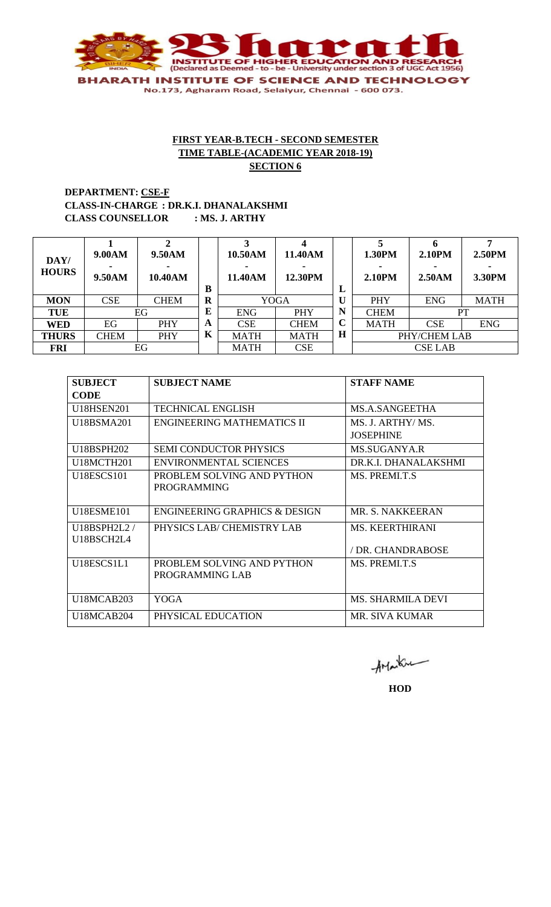

# **DEPARTMENT: CSE-F CLASS-IN-CHARGE : DR.K.I. DHANALAKSHMI CLASS COUNSELLOR : MS. J. ARTHY**

| DAY/<br><b>HOURS</b> | 9.00AM<br>9.50AM | 9.50AM<br>10.40AM | B       | 10.50AM<br>11.40AM | 11.40AM<br>12.30PM | ш           | 1.30PM<br>2.10PM | 6<br>2.10PM<br>2.50AM | 2.50PM<br>3.30PM |
|----------------------|------------------|-------------------|---------|--------------------|--------------------|-------------|------------------|-----------------------|------------------|
| <b>MON</b>           | <b>CSE</b>       | <b>CHEM</b>       | $\bf R$ |                    | <b>YOGA</b>        | U           | PHY              | <b>ENG</b>            | <b>MATH</b>      |
| <b>TUE</b>           |                  | EG                | E       | <b>ENG</b>         | <b>PHY</b>         | N           | <b>CHEM</b>      |                       | PТ               |
| <b>WED</b>           | EG               | <b>PHY</b>        | A       | <b>CSE</b>         | <b>CHEM</b>        | $\mathbf C$ | <b>MATH</b>      | <b>CSE</b>            | <b>ENG</b>       |
| <b>THURS</b>         | <b>CHEM</b>      | <b>PHY</b>        | K       | <b>MATH</b>        | <b>MATH</b>        | $\mathbf H$ |                  | PHY/CHEM LAB          |                  |
| <b>FRI</b>           |                  | EG                |         | <b>MATH</b>        | <b>CSE</b>         |             |                  | <b>CSE LAB</b>        |                  |

| <b>SUBJECT</b>    | <b>SUBJECT NAME</b>           | <b>STAFF NAME</b>        |
|-------------------|-------------------------------|--------------------------|
| <b>CODE</b>       |                               |                          |
| U18HSEN201        | <b>TECHNICAL ENGLISH</b>      | MS.A.SANGEETHA           |
| U18BSMA201        | ENGINEERING MATHEMATICS II    | MS. J. ARTHY/MS.         |
|                   |                               | <b>JOSEPHINE</b>         |
| U18BSPH202        | <b>SEMI CONDUCTOR PHYSICS</b> | MS.SUGANYA.R             |
| U18MCTH201        | <b>ENVIRONMENTAL SCIENCES</b> | DR.K.I. DHANALAKSHMI     |
| <b>U18ESCS101</b> | PROBLEM SOLVING AND PYTHON    | MS. PREMIT.S             |
|                   | <b>PROGRAMMING</b>            |                          |
|                   |                               |                          |
| U18ESME101        | ENGINEERING GRAPHICS & DESIGN | MR. S. NAKKEERAN         |
| U18BSPH2L2 /      | PHYSICS LAB/ CHEMISTRY LAB    | <b>MS. KEERTHIRANI</b>   |
| U18BSCH2L4        |                               |                          |
|                   |                               | / DR. CHANDRABOSE        |
| U18ESCS1L1        | PROBLEM SOLVING AND PYTHON    | MS. PREMI.T.S            |
|                   | PROGRAMMING LAB               |                          |
|                   |                               |                          |
| U18MCAB203        | YOGA                          | <b>MS. SHARMILA DEVI</b> |
| U18MCAB204        | PHYSICAL EDUCATION            | MR. SIVA KUMAR           |

AMarku

**HOD**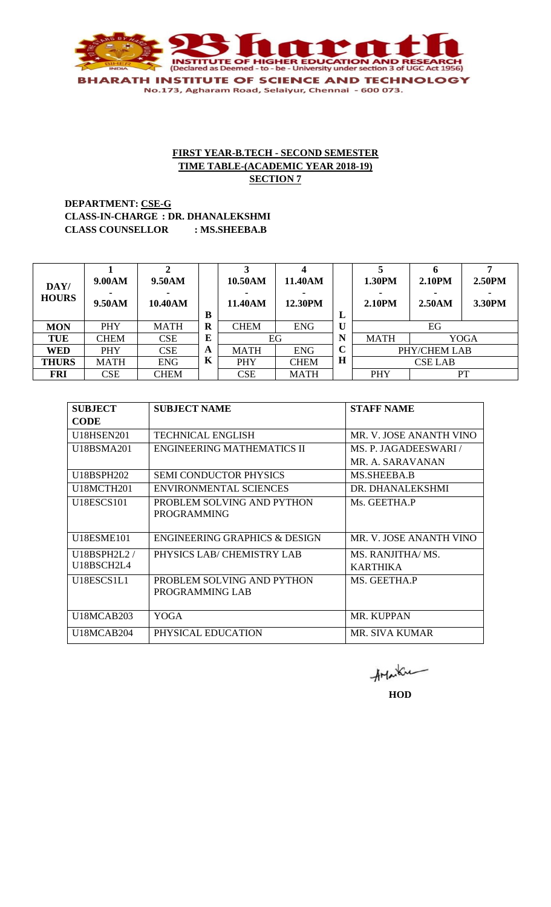

**DEPARTMENT: CSE-G CLASS-IN-CHARGE : DR. DHANALEKSHMI CLASS COUNSELLOR : MS.SHEEBA.B**

| DAY/<br><b>HOURS</b> | 9.00AM<br>9.50AM | 9.50AM<br>10.40AM | B | 10.50AM<br>11.40AM        | 11.40AM<br>12.30PM | L           | 1.30PM<br>2.10 <sub>PM</sub> | h<br>2.10PM<br>2.50AM | 2.50PM<br>3.30PM |
|----------------------|------------------|-------------------|---|---------------------------|--------------------|-------------|------------------------------|-----------------------|------------------|
| <b>MON</b>           | <b>PHY</b>       | <b>MATH</b>       | R | <b>CHEM</b>               | <b>ENG</b>         | $\bf U$     |                              | EG                    |                  |
| TUE                  | <b>CHEM</b>      | <b>CSE</b>        | E |                           | EG                 | N           | <b>MATH</b>                  |                       | <b>YOGA</b>      |
| <b>WED</b>           | <b>PHY</b>       | <b>CSE</b>        | A | <b>ENG</b><br><b>MATH</b> |                    | $\mathbf C$ |                              | PHY/CHEM LAB          |                  |
| <b>THURS</b>         | <b>MATH</b>      | <b>ENG</b>        | K | PHY<br><b>CHEM</b>        |                    | $\bf H$     |                              | <b>CSE LAB</b>        |                  |
| <b>FRI</b>           | <b>CSE</b>       | <b>CHEM</b>       |   | <b>CSE</b>                | <b>MATH</b>        |             | PHY                          |                       | PT               |

| <b>SUBJECT</b>    | <b>SUBJECT NAME</b>               | <b>STAFF NAME</b>       |
|-------------------|-----------------------------------|-------------------------|
| <b>CODE</b>       |                                   |                         |
| <b>U18HSEN201</b> | <b>TECHNICAL ENGLISH</b>          | MR. V. JOSE ANANTH VINO |
| U18BSMA201        | <b>ENGINEERING MATHEMATICS II</b> | MS. P. JAGADEESWARI /   |
|                   |                                   | MR. A. SARAVANAN        |
| U18BSPH202        | <b>SEMI CONDUCTOR PHYSICS</b>     | MS.SHEEBA.B             |
| <b>U18MCTH201</b> | <b>ENVIRONMENTAL SCIENCES</b>     | DR. DHANALEKSHMI        |
| U18ESCS101        | PROBLEM SOLVING AND PYTHON        | Ms. GEETHA.P            |
|                   | <b>PROGRAMMING</b>                |                         |
|                   |                                   |                         |
| U18ESME101        | ENGINEERING GRAPHICS & DESIGN     | MR. V. JOSE ANANTH VINO |
| U18BSPH2L2/       | PHYSICS LAB/ CHEMISTRY LAB        | MS. RANJITHA/MS.        |
| U18BSCH2L4        |                                   | <b>KARTHIKA</b>         |
| U18ESCS1L1        | PROBLEM SOLVING AND PYTHON        | MS. GEETHA P            |
|                   | PROGRAMMING LAB                   |                         |
|                   |                                   |                         |
| U18MCAB203        | YOGA                              | <b>MR. KUPPAN</b>       |
| U18MCAB204        | PHYSICAL EDUCATION                | <b>MR. SIVA KUMAR</b>   |

AMarku

**HOD**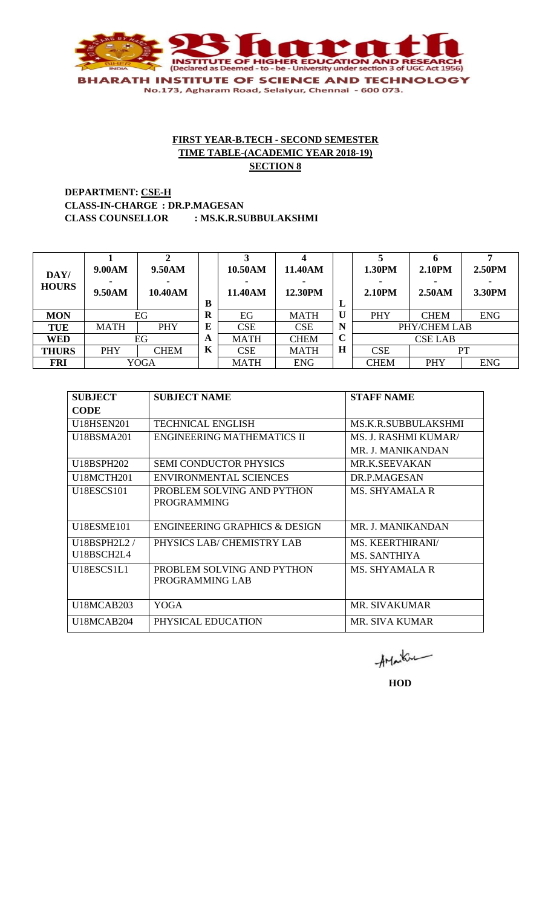

**DEPARTMENT: CSE-H CLASS-IN-CHARGE : DR.P.MAGESAN CLASS COUNSELLOR : MS.K.R.SUBBULAKSHMI**

| DAY/<br><b>HOURS</b> | 9.00AM<br>9.50AM | 9.50AM<br>10.40AM | B | 10.50AM<br>11.40AM | 11.40AM<br>12.30PM | L           | 1.30PM<br>2.10 <sub>PM</sub> | <b>2.10PM</b><br>2.50AM | -<br>2.50PM<br>3.30PM |
|----------------------|------------------|-------------------|---|--------------------|--------------------|-------------|------------------------------|-------------------------|-----------------------|
| <b>MON</b>           |                  | EG                | R | EG                 | <b>MATH</b>        | U           | PHY                          | <b>CHEM</b>             | <b>ENG</b>            |
| <b>TUE</b>           | <b>MATH</b>      | PHY               | E | <b>CSE</b>         | <b>CSE</b>         | N           | PHY/CHEM LAB                 |                         |                       |
| <b>WED</b>           |                  | EG                | A | <b>MATH</b>        | <b>CHEM</b>        | $\mathbf C$ |                              | <b>CSE LAB</b>          |                       |
| <b>THURS</b>         | PHY              | <b>CHEM</b>       | K | <b>CSE</b>         | <b>MATH</b>        | H           | CSE<br>PT                    |                         |                       |
| <b>FRI</b>           |                  | <b>YOGA</b>       |   | <b>MATH</b>        | <b>ENG</b>         |             | <b>CHEM</b>                  | PHY                     | <b>ENG</b>            |

| <b>SUBJECT</b>                      | <b>SUBJECT NAME</b>                      | <b>STAFF NAME</b>           |
|-------------------------------------|------------------------------------------|-----------------------------|
| <b>CODE</b>                         |                                          |                             |
| <b>U18HSEN201</b>                   | <b>TECHNICAL ENGLISH</b>                 | MS.K.R.SUBBULAKSHMI         |
| U18BSMA201                          | <b>ENGINEERING MATHEMATICS II</b>        | <b>MS. J. RASHMI KUMAR/</b> |
|                                     |                                          | MR. J. MANIKANDAN           |
| <b>U18BSPH202</b>                   | <b>SEMI CONDUCTOR PHYSICS</b>            | <b>MR.K.SEEVAKAN</b>        |
| U18MCTH201                          | <b>ENVIRONMENTAL SCIENCES</b>            | DR.P.MAGESAN                |
| <b>U18ESCS101</b>                   | PROBLEM SOLVING AND PYTHON               | MS. SHYAMALA R              |
|                                     | <b>PROGRAMMING</b>                       |                             |
|                                     |                                          |                             |
| U18ESME101                          | <b>ENGINEERING GRAPHICS &amp; DESIGN</b> | <b>MR. J. MANIKANDAN</b>    |
| U18BSPH2L2/                         | PHYSICS LAB/ CHEMISTRY LAB               | <b>MS. KEERTHIRANI/</b>     |
| U18BSCH2L4                          |                                          | <b>MS. SANTHIYA</b>         |
| U18ESCS1L1                          | PROBLEM SOLVING AND PYTHON               | <b>MS. SHYAMALA R</b>       |
|                                     | PROGRAMMING LAB                          |                             |
|                                     |                                          |                             |
| <b>U18MCAB203</b>                   | YOGA                                     | <b>MR. SIVAKUMAR</b>        |
| U <sub>18</sub> MCAB <sub>204</sub> | PHYSICAL EDUCATION                       | <b>MR. SIVA KUMAR</b>       |

AMarku

**HOD**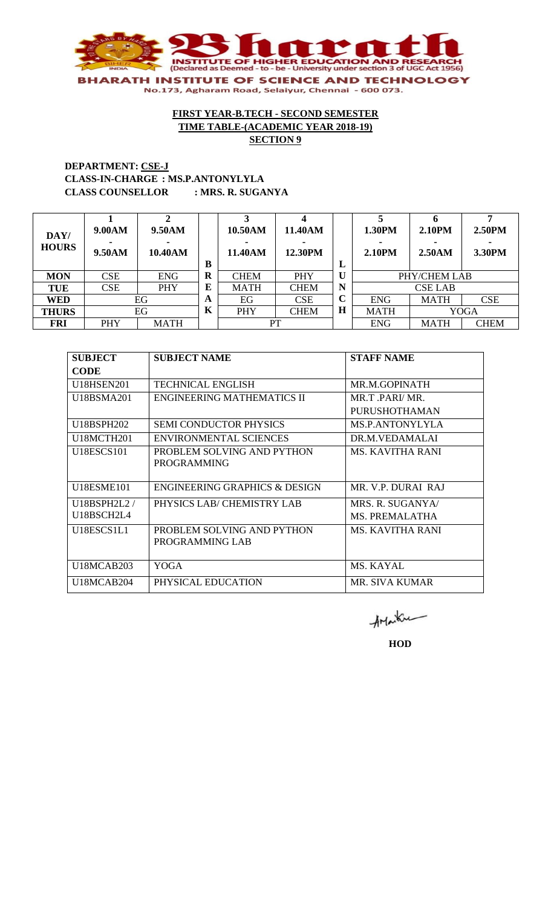

## **DEPARTMENT: CSE-J CLASS-IN-CHARGE : MS.P.ANTONYLYLA CLASS COUNSELLOR : MRS. R. SUGANYA**

| DAY/<br><b>HOURS</b> | 9.00AM<br>9.50AM | 9.50AM<br>10.40AM | B | 10.50AM<br>11.40AM | 11.40AM<br>12.30PM | L           | 1.30PM<br><b>2.10PM</b>                 | 2.10PM<br>2.50AM | 2.50PM<br>3.30PM |
|----------------------|------------------|-------------------|---|--------------------|--------------------|-------------|-----------------------------------------|------------------|------------------|
| <b>MON</b>           | <b>CSE</b>       | <b>ENG</b>        | R | <b>CHEM</b>        | <b>PHY</b>         | U           |                                         | PHY/CHEM LAB     |                  |
| <b>TUE</b>           | <b>CSE</b>       | <b>PHY</b>        | E | <b>MATH</b>        | <b>CHEM</b>        | N           |                                         | <b>CSE LAB</b>   |                  |
| <b>WED</b>           |                  | EG                | A | EG                 | <b>CSE</b>         | $\mathbf C$ | <b>CSE</b><br><b>ENG</b><br><b>MATH</b> |                  |                  |
| <b>THURS</b>         |                  | EG                | K | PHY                | <b>CHEM</b>        | $\bf H$     | <b>MATH</b>                             |                  | <b>YOGA</b>      |
| <b>FRI</b>           | PHY              | MATH              |   |                    | <b>PT</b>          |             | <b>ENG</b>                              | <b>MATH</b>      | <b>CHEM</b>      |

| <b>SUBJECT</b>    | <b>SUBJECT NAME</b>                      | <b>STAFF NAME</b>       |
|-------------------|------------------------------------------|-------------------------|
| <b>CODE</b>       |                                          |                         |
| <b>U18HSEN201</b> | <b>TECHNICAL ENGLISH</b>                 | MR.M.GOPINATH           |
| U18BSMA201        | <b>ENGINEERING MATHEMATICS II</b>        | MR.T.PARI/MR.           |
|                   |                                          | PURUSHOTHAMAN           |
| <b>U18BSPH202</b> | <b>SEMI CONDUCTOR PHYSICS</b>            | <b>MS.P.ANTONYLYLA</b>  |
| <b>U18MCTH201</b> | <b>ENVIRONMENTAL SCIENCES</b>            | DR.M.VEDAMALAI          |
| <b>U18ESCS101</b> | PROBLEM SOLVING AND PYTHON               | <b>MS. KAVITHA RANI</b> |
|                   | <b>PROGRAMMING</b>                       |                         |
|                   |                                          |                         |
| <b>U18ESME101</b> | <b>ENGINEERING GRAPHICS &amp; DESIGN</b> | MR. V.P. DURAI RAJ      |
| U18BSPH2L2/       | PHYSICS LAB/ CHEMISTRY LAB               | MRS. R. SUGANYA/        |
| U18BSCH2L4        |                                          | MS. PREMALATHA          |
| U18ESCS1L1        | PROBLEM SOLVING AND PYTHON               | <b>MS. KAVITHA RANI</b> |
|                   | PROGRAMMING LAB                          |                         |
|                   |                                          |                         |
| <b>U18MCAB203</b> | YOGA                                     | MS. KAYAL               |
| U18MCAB204        | PHYSICAL EDUCATION                       | MR. SIVA KUMAR          |

AMarku

**HOD**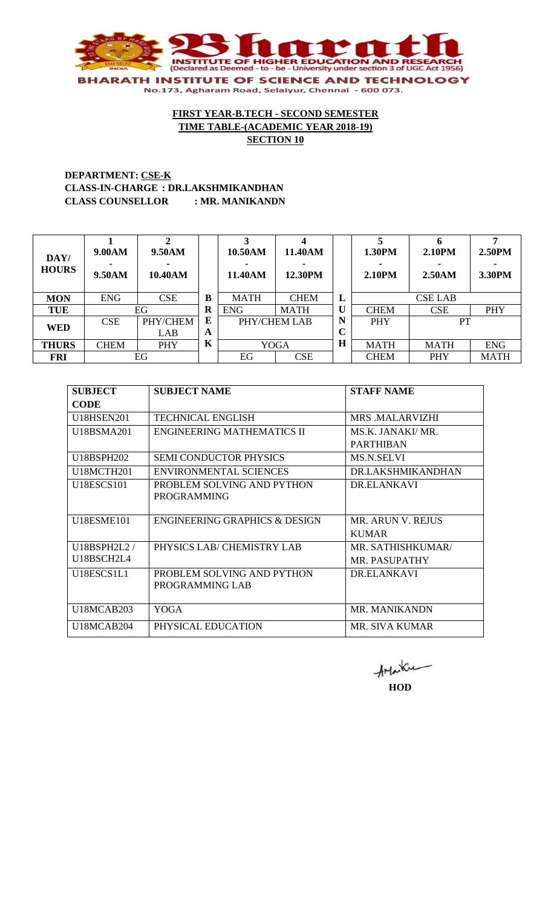

# **DEPARTMENT: CSE-K CLASS-IN-CHARGE : DR.LAKSHMIKANDHAN CLASS COUNSELLOR : MR. MANIKANDN**

| DAY/<br><b>HOURS</b> | 9.00AM<br>9.50AM | 9.50AM<br>10.40AM |        | 10.50AM<br>11.40AM | 11.40AM<br>12.30PM |                  | 1.30PM<br>2.10PM | 2.10PM<br>2.50AM | 2.50PM<br>3.30PM |
|----------------------|------------------|-------------------|--------|--------------------|--------------------|------------------|------------------|------------------|------------------|
| <b>MON</b>           | <b>ENG</b>       | <b>CSE</b>        | B      | <b>MATH</b>        | <b>CHEM</b>        | L                |                  | <b>CSE LAB</b>   |                  |
| <b>TUE</b>           |                  | EG                | R      | <b>ENG</b>         | <b>MATH</b>        | U                | <b>CHEM</b>      | <b>CSE</b>       | <b>PHY</b>       |
| <b>WED</b>           | <b>CSE</b>       | PHY/CHEM<br>LAB   | E<br>A | PHY/CHEM LAB       |                    | N<br>$\mathbf C$ | <b>PHY</b>       | <b>PT</b>        |                  |
| <b>THURS</b>         | <b>CHEM</b>      | <b>PHY</b>        | K      | <b>YOGA</b>        |                    | H                | <b>MATH</b>      | <b>MATH</b>      | <b>ENG</b>       |
| <b>FRI</b>           |                  | EG                |        | EG                 | <b>CSE</b>         |                  | <b>CHEM</b>      | <b>PHY</b>       | <b>MATH</b>      |

| <b>SUBJECT</b>                      | <b>SUBJECT NAME</b>                      | <b>STAFF NAME</b>        |
|-------------------------------------|------------------------------------------|--------------------------|
| <b>CODE</b>                         |                                          |                          |
| U18HSEN201                          | <b>TECHNICAL ENGLISH</b>                 | MRS MALARVIZHI           |
| U18BSMA201                          | <b>ENGINEERING MATHEMATICS II</b>        | MS.K. JANAKI/ MR.        |
|                                     |                                          | <b>PARTHIBAN</b>         |
| U18BSPH202                          | <b>SEMI CONDUCTOR PHYSICS</b>            | <b>MS.N.SELVI</b>        |
| U18MCTH201                          | <b>ENVIRONMENTAL SCIENCES</b>            | DR LAKSHMIKANDHAN        |
| U18ESCS101                          | PROBLEM SOLVING AND PYTHON               | DR.ELANKAVI              |
|                                     | <b>PROGRAMMING</b>                       |                          |
|                                     |                                          |                          |
| <b>U18ESME101</b>                   | <b>ENGINEERING GRAPHICS &amp; DESIGN</b> | <b>MR. ARUN V. REJUS</b> |
|                                     |                                          | <b>KUMAR</b>             |
| U18BSPH2L2/                         | PHYSICS LAB/ CHEMISTRY LAB               | MR. SATHISHKUMAR/        |
| U18BSCH2L4                          |                                          | <b>MR. PASUPATHY</b>     |
| U18ESCS1L1                          | PROBLEM SOLVING AND PYTHON               | DR.ELANKAVI              |
|                                     | PROGRAMMING LAB                          |                          |
|                                     |                                          |                          |
| U <sub>18</sub> MCAB <sub>203</sub> | YOGA                                     | <b>MR. MANIKANDN</b>     |
| U <sub>18</sub> MCAB <sub>204</sub> | PHYSICAL EDUCATION                       | MR. SIVA KUMAR           |

**HOD**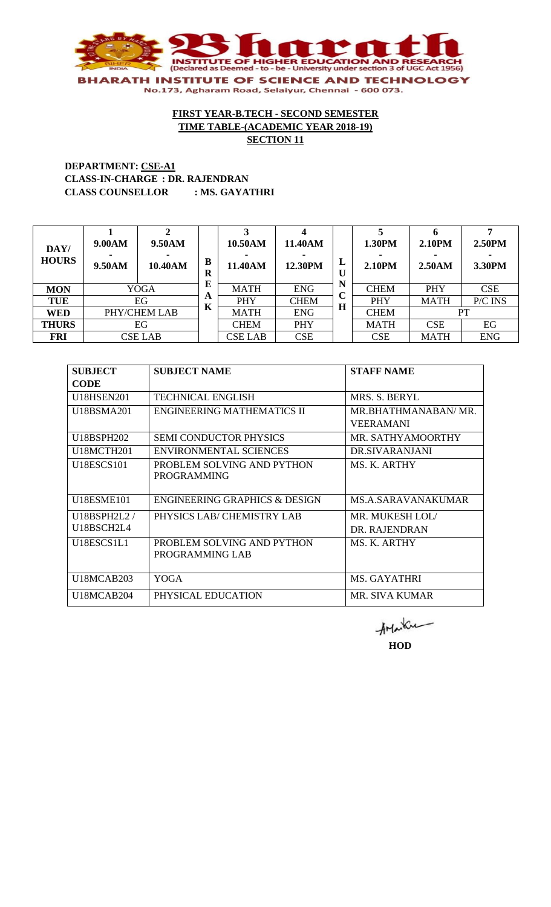

## **DEPARTMENT: CSE-A1 CLASS-IN-CHARGE : DR. RAJENDRAN CLASS COUNSELLOR : MS. GAYATHRI**

| DAY/<br><b>HOURS</b> | 9.00AM<br>9.50AM | 9.50AM<br>10.40AM | B<br>R | 10.50AM<br>11.40AM | 11.40AM<br>12.30PM | L<br>U | 1.30PM<br>2.10 <sub>PM</sub> | 2.10PM<br>2.50AM | 2.50PM<br>3.30PM |
|----------------------|------------------|-------------------|--------|--------------------|--------------------|--------|------------------------------|------------------|------------------|
| <b>MON</b>           |                  | <b>YOGA</b>       | E      | <b>MATH</b>        | <b>ENG</b>         | N      | <b>CHEM</b>                  | <b>PHY</b>       | <b>CSE</b>       |
| TUE                  |                  | EG                | A<br>K | <b>PHY</b>         | <b>CHEM</b>        | ◡<br>H | PHY                          | <b>MATH</b>      | P/C INS          |
| <b>WED</b>           | PHY/CHEM LAB     |                   |        | <b>MATH</b>        | <b>ENG</b>         |        | <b>CHEM</b>                  |                  | PT               |
| <b>THURS</b>         |                  | EG                |        | <b>CHEM</b>        | <b>PHY</b>         |        | <b>MATH</b>                  | <b>CSE</b>       | EG               |
| <b>FRI</b>           |                  | <b>CSE LAB</b>    |        | <b>CSE LAB</b>     | <b>CSE</b>         |        | <b>CSE</b>                   | MATH             | <b>ENG</b>       |

| <b>SUBJECT</b>                      | <b>SUBJECT NAME</b>                      | <b>STAFF NAME</b>      |
|-------------------------------------|------------------------------------------|------------------------|
| <b>CODE</b>                         |                                          |                        |
| U18HSEN201                          | <b>TECHNICAL ENGLISH</b>                 | MRS. S. BERYL          |
| U18BSMA201                          | ENGINEERING MATHEMATICS II               | MR.BHATHMANABAN/MR.    |
|                                     |                                          | <b>VEERAMANI</b>       |
| <b>U18BSPH202</b>                   | <b>SEMI CONDUCTOR PHYSICS</b>            | MR. SATHYAMOORTHY      |
| U <sub>18</sub> MCTH <sub>201</sub> | <b>ENVIRONMENTAL SCIENCES</b>            | DR SIVARANJANI         |
| <b>U18ESCS101</b>                   | PROBLEM SOLVING AND PYTHON               | MS. K. ARTHY           |
|                                     | <b>PROGRAMMING</b>                       |                        |
|                                     |                                          |                        |
| U18ESME101                          | <b>ENGINEERING GRAPHICS &amp; DESIGN</b> | MS.A.SARAVANAKUMAR     |
| U18BSPH2L2/                         | PHYSICS LAB/ CHEMISTRY LAB               | <b>MR. MUKESH LOL/</b> |
| U18BSCH2L4                          |                                          | DR. RAJENDRAN          |
| U18ESCS1L1                          | PROBLEM SOLVING AND PYTHON               | MS. K. ARTHY           |
|                                     | PROGRAMMING LAB                          |                        |
|                                     |                                          |                        |
| U <sub>18</sub> MCAB <sub>203</sub> | YOGA                                     | <b>MS. GAYATHRI</b>    |
| U <sub>18</sub> MCAB <sub>204</sub> | PHYSICAL EDUCATION                       | MR. SIVA KUMAR         |

AMarku **HOD**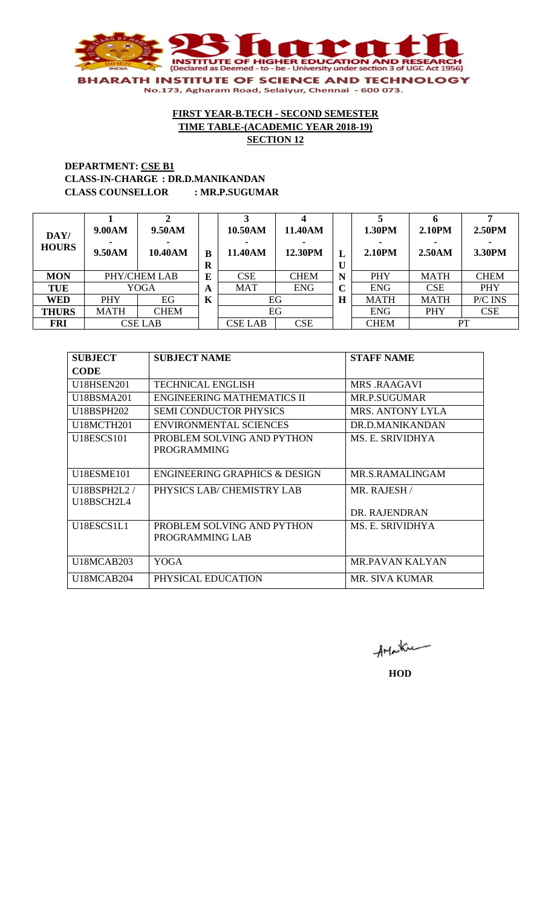

## **DEPARTMENT: CSE B1 CLASS-IN-CHARGE : DR.D.MANIKANDAN CLASS COUNSELLOR : MR.P.SUGUMAR**

| DAY/<br><b>HOURS</b> | 9.00AM<br>9.50AM | 9.50AM<br>10.40AM | B<br>R | 10.50AM<br>11.40AM | 11.40AM<br>12.30PM |   | 1.30PM<br>2.10PM | 2.10PM<br>2.50AM | 2.50PM<br>3.30PM |
|----------------------|------------------|-------------------|--------|--------------------|--------------------|---|------------------|------------------|------------------|
| <b>MON</b>           |                  | PHY/CHEM LAB      | E      | <b>CSE</b>         | <b>CHEM</b>        | N | PHY              | <b>MATH</b>      | <b>CHEM</b>      |
| <b>TUE</b>           |                  | <b>YOGA</b>       | A      | <b>MAT</b>         | ENG                | C | <b>ENG</b>       | <b>CSE</b>       | <b>PHY</b>       |
| <b>WED</b>           | <b>PHY</b>       | EG                | K      |                    | EG                 |   | <b>MATH</b>      | <b>MATH</b>      | P/C INS          |
| <b>THURS</b>         | <b>MATH</b>      | <b>CHEM</b>       |        | EG                 |                    |   | <b>ENG</b>       | <b>PHY</b>       | <b>CSE</b>       |
| <b>FRI</b>           |                  | <b>CSE LAB</b>    |        | <b>CSE LAB</b>     | <b>CSE</b>         |   | <b>CHEM</b>      |                  | PT               |

| <b>SUBJECT</b>                      | <b>SUBJECT NAME</b>                              | <b>STAFF NAME</b>            |
|-------------------------------------|--------------------------------------------------|------------------------------|
| <b>CODE</b>                         |                                                  |                              |
| <b>U18HSEN201</b>                   | <b>TECHNICAL ENGLISH</b>                         | <b>MRS .RAAGAVI</b>          |
| U18BSMA201                          | <b>ENGINEERING MATHEMATICS II</b>                | <b>MR.P.SUGUMAR</b>          |
| U18BSPH202                          | <b>SEMI CONDUCTOR PHYSICS</b>                    | <b>MRS. ANTONY LYLA</b>      |
| <b>U18MCTH201</b>                   | <b>ENVIRONMENTAL SCIENCES</b>                    | DR.D.MANIKANDAN              |
| U18ESCS101                          | PROBLEM SOLVING AND PYTHON<br><b>PROGRAMMING</b> | MS. E. SRIVIDHYA             |
| <b>U18ESME101</b>                   | <b>ENGINEERING GRAPHICS &amp; DESIGN</b>         | MR.S.RAMALINGAM              |
| U18BSPH2L2/<br>U18BSCH2L4           | PHYSICS LAB/ CHEMISTRY LAB                       | MR. RAJESH/<br>DR. RAJENDRAN |
| U18ESCS1L1                          | PROBLEM SOLVING AND PYTHON<br>PROGRAMMING LAB    | MS. E. SRIVIDHYA             |
| U <sub>18</sub> MCAB <sub>203</sub> | YOGA                                             | <b>MR.PAVAN KALYAN</b>       |
| U18MCAB204                          | PHYSICAL EDUCATION                               | MR. SIVA KUMAR               |

AMarku

**HOD**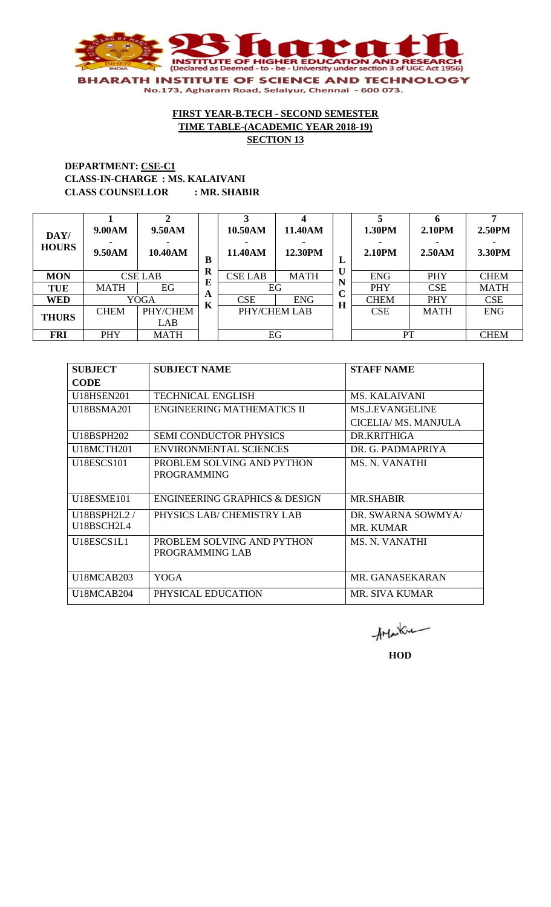

## **DEPARTMENT: CSE-C1 CLASS-IN-CHARGE : MS. KALAIVANI CLASS COUNSELLOR : MR. SHABIR**

| DAY/<br><b>HOURS</b> | 9.00AM<br>9.50AM | 9.50AM<br>10.40AM | B                | 10.50AM<br>11.40AM            | 11.40AM<br>12.30PM | L      | 1.30PM<br>2.10PM | 2.10PM<br>2.50AM | 2.50PM<br>3.30PM |
|----------------------|------------------|-------------------|------------------|-------------------------------|--------------------|--------|------------------|------------------|------------------|
| <b>MON</b>           |                  | <b>CSE LAB</b>    | $\mathbf R$<br>E | <b>CSE LAB</b><br><b>MATH</b> |                    | U<br>N | <b>ENG</b>       | PHY              | <b>CHEM</b>      |
| <b>TUE</b>           | <b>MATH</b>      | EG                |                  |                               | EG                 | $\sim$ | PHY              | <b>CSE</b>       | <b>MATH</b>      |
| <b>WED</b>           |                  | <b>YOGA</b>       | A<br>K           | <b>CSE</b>                    | <b>ENG</b>         |        | <b>CHEM</b>      | <b>PHY</b>       | <b>CSE</b>       |
| <b>THURS</b>         | <b>CHEM</b>      | PHY/CHEM<br>LAB   |                  | PHY/CHEM LAB                  |                    | H      | <b>CSE</b>       | <b>MATH</b>      | <b>ENG</b>       |
| <b>FRI</b>           | <b>PHY</b>       | <b>MATH</b>       |                  |                               | EG                 |        | PT               |                  | <b>CHEM</b>      |

| <b>SUBJECT</b>                      | <b>SUBJECT NAME</b>           | <b>STAFF NAME</b>      |
|-------------------------------------|-------------------------------|------------------------|
| <b>CODE</b>                         |                               |                        |
| <b>U18HSEN201</b>                   | <b>TECHNICAL ENGLISH</b>      | <b>MS. KALAIVANI</b>   |
| U18BSMA201                          | ENGINEERING MATHEMATICS II    | <b>MS.J.EVANGELINE</b> |
|                                     |                               | CICELIA/ MS. MANJULA   |
| U18BSPH202                          | <b>SEMI CONDUCTOR PHYSICS</b> | DR.KRITHIGA            |
| U <sub>18</sub> MCTH <sub>201</sub> | <b>ENVIRONMENTAL SCIENCES</b> | DR. G. PADMAPRIYA      |
| <b>U18ESCS101</b>                   | PROBLEM SOLVING AND PYTHON    | MS. N. VANATHI         |
|                                     | <b>PROGRAMMING</b>            |                        |
|                                     |                               |                        |
| U18ESME101                          | ENGINEERING GRAPHICS & DESIGN | <b>MR.SHABIR</b>       |
| U18BSPH2L2/                         | PHYSICS LAB/ CHEMISTRY LAB    | DR. SWARNA SOWMYA/     |
| U18BSCH2L4                          |                               | MR. KUMAR              |
| U18ESCS1L1                          | PROBLEM SOLVING AND PYTHON    | MS. N. VANATHI         |
|                                     | PROGRAMMING LAB               |                        |
|                                     |                               |                        |
| U <sub>18</sub> MCAB <sub>203</sub> | YOGA                          | MR. GANASEKARAN        |
| U18MCAB204                          | PHYSICAL EDUCATION            | MR. SIVA KUMAR         |

AMarku

**HOD**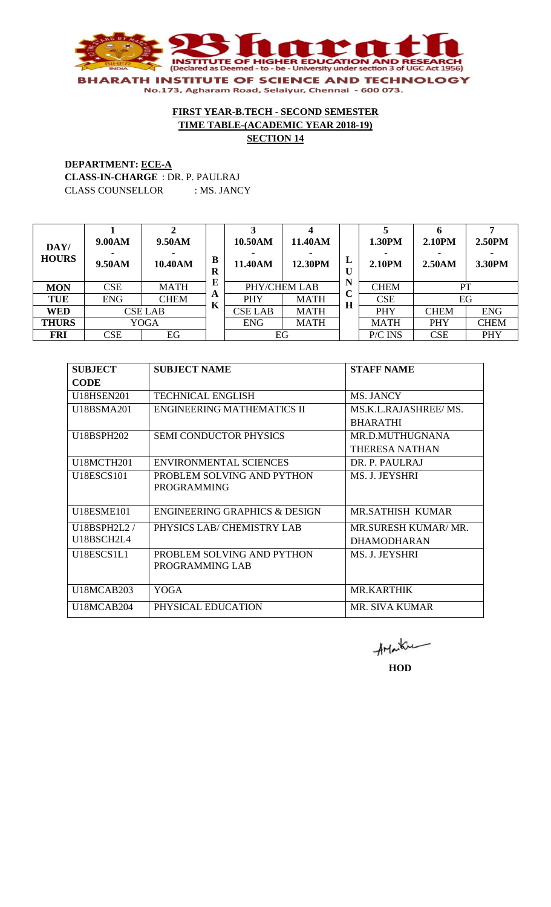

**DEPARTMENT: ECE-A CLASS-IN-CHARGE** : DR. P. PAULRAJ CLASS COUNSELLOR : MS. JANCY

| DAY/<br><b>HOURS</b> | 9.00AM<br>9.50AM | 9.50AM<br>10.40AM | B<br>R | 10.50AM<br>11.40AM | 11.40AM<br>12.30PM | L<br>$\bf{U}$   | 1.30PM<br>2.10PM | 2.10 <sub>PM</sub><br>2.50AM | 2.50PM<br>3.30PM |
|----------------------|------------------|-------------------|--------|--------------------|--------------------|-----------------|------------------|------------------------------|------------------|
| <b>MON</b>           | <b>CSE</b>       | <b>MATH</b>       | E      |                    | PHY/CHEM LAB       | N<br>$\sqrt{ }$ | <b>CHEM</b>      | PT                           |                  |
| <b>TUE</b>           | <b>ENG</b>       | <b>CHEM</b>       | A<br>K | <b>PHY</b>         | <b>MATH</b>        | ◡<br>$\bf H$    | <b>CSE</b>       | EG                           |                  |
| <b>WED</b>           |                  | <b>CSE LAB</b>    |        | <b>CSE LAB</b>     | <b>MATH</b>        |                 | PHY              | <b>CHEM</b>                  | <b>ENG</b>       |
| <b>THURS</b>         |                  | <b>YOGA</b>       |        | <b>ENG</b>         | <b>MATH</b>        |                 | <b>MATH</b>      | PHY                          | <b>CHEM</b>      |
| <b>FRI</b>           | <b>CSE</b>       | EG                |        |                    | EG                 |                 | P/C INS          | <b>CSE</b>                   | PHY              |

| <b>SUBJECT</b>    | <b>SUBJECT NAME</b>                      | <b>STAFF NAME</b>           |
|-------------------|------------------------------------------|-----------------------------|
| <b>CODE</b>       |                                          |                             |
| U18HSEN201        | <b>TECHNICAL ENGLISH</b>                 | <b>MS. JANCY</b>            |
| U18BSMA201        | <b>ENGINEERING MATHEMATICS II</b>        | MS.K.L.RAJASHREE/MS.        |
|                   |                                          | <b>BHARATHI</b>             |
| <b>U18BSPH202</b> | <b>SEMI CONDUCTOR PHYSICS</b>            | MR.D.MUTHUGNANA             |
|                   |                                          | THERESA NATHAN              |
| <b>U18MCTH201</b> | <b>ENVIRONMENTAL SCIENCES</b>            | DR. P. PAULRAJ              |
| <b>U18ESCS101</b> | PROBLEM SOLVING AND PYTHON               | MS. J. JEYSHRI              |
|                   | <b>PROGRAMMING</b>                       |                             |
|                   |                                          |                             |
| <b>U18ESME101</b> | <b>ENGINEERING GRAPHICS &amp; DESIGN</b> | <b>MR SATHISH KUMAR</b>     |
| U18BSPH2L2/       | PHYSICS LAB/ CHEMISTRY LAB               | <b>MR.SURESH KUMAR/ MR.</b> |
| U18BSCH2L4        |                                          | <b>DHAMODHARAN</b>          |
| U18ESCS1L1        | PROBLEM SOLVING AND PYTHON               | MS. J. JEYSHRI              |
|                   | PROGRAMMING LAB                          |                             |
|                   |                                          |                             |
| <b>U18MCAB203</b> | YOGA                                     | <b>MR.KARTHIK</b>           |
| <b>U18MCAB204</b> | PHYSICAL EDUCATION                       | <b>MR. SIVA KUMAR</b>       |

AMarku

**HOD**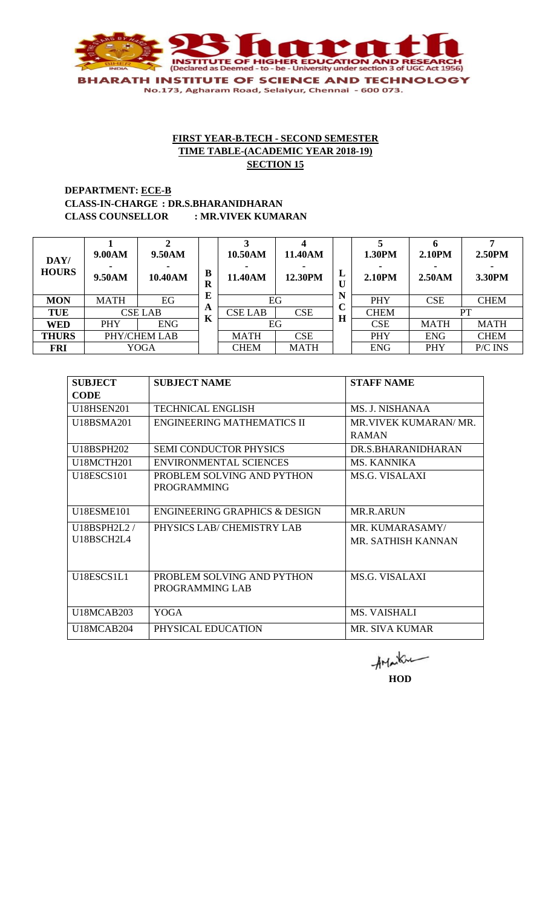

## **DEPARTMENT: ECE-B CLASS-IN-CHARGE : DR.S.BHARANIDHARAN CLASS COUNSELLOR : MR.VIVEK KUMARAN**

| DAY/<br><b>HOURS</b> | 9.00AM<br>9.50AM | 9.50AM<br>10.40AM | B<br>R | 10.50AM<br>11.40AM | 11.40AM<br>12.30PM | L<br>ι.     | 1.30PM<br><b>2.10PM</b> | 2.10PM<br>2.50AM | 2.50PM<br>3.30PM |
|----------------------|------------------|-------------------|--------|--------------------|--------------------|-------------|-------------------------|------------------|------------------|
| <b>MON</b>           | <b>MATH</b>      | EG                | E      |                    | EG                 | N<br>$\sim$ | PHY                     | <b>CSE</b>       | <b>CHEM</b>      |
| <b>TUE</b>           |                  | <b>CSE LAB</b>    | A<br>K | <b>CSE LAB</b>     | <b>CSE</b>         | Н           | <b>CHEM</b>             |                  | PT               |
| <b>WED</b>           | <b>PHY</b>       | <b>ENG</b>        |        |                    | EG                 |             | <b>CSE</b>              | <b>MATH</b>      | <b>MATH</b>      |
| <b>THURS</b>         |                  | PHY/CHEM LAB      |        | <b>MATH</b>        | <b>CSE</b>         |             | PHY                     | <b>ENG</b>       | <b>CHEM</b>      |
| <b>FRI</b>           |                  | <b>YOGA</b>       |        | <b>CHEM</b>        | <b>MATH</b>        |             | <b>ENG</b>              | PHY              | P/C INS          |

| <b>SUBJECT</b>    | <b>SUBJECT NAME</b>                              | <b>STAFF NAME</b>            |
|-------------------|--------------------------------------------------|------------------------------|
| <b>CODE</b>       |                                                  |                              |
| <b>U18HSEN201</b> | <b>TECHNICAL ENGLISH</b>                         | MS. J. NISHANAA              |
| U18BSMA201        | <b>ENGINEERING MATHEMATICS II</b>                | <b>MR.VIVEK KUMARAN/ MR.</b> |
|                   |                                                  | <b>RAMAN</b>                 |
| U18BSPH202        | <b>SEMI CONDUCTOR PHYSICS</b>                    | DR.S.BHARANIDHARAN           |
| <b>U18MCTH201</b> | <b>ENVIRONMENTAL SCIENCES</b>                    | MS. KANNIKA                  |
| <b>U18ESCS101</b> | PROBLEM SOLVING AND PYTHON<br><b>PROGRAMMING</b> | <b>MS.G. VISALAXI</b>        |
| <b>U18ESME101</b> | <b>ENGINEERING GRAPHICS &amp; DESIGN</b>         | <b>MR.R.ARUN</b>             |
|                   |                                                  |                              |
| U18BSPH2L2/       | PHYSICS LAB/ CHEMISTRY LAB                       | MR. KUMARASAMY/              |
| U18BSCH2L4        |                                                  | MR. SATHISH KANNAN           |
| U18ESCS1L1        | PROBLEM SOLVING AND PYTHON<br>PROGRAMMING LAB    | <b>MS.G. VISALAXI</b>        |
| <b>U18MCAB203</b> | <b>YOGA</b>                                      | <b>MS. VAISHALI</b>          |
| <b>U18MCAB204</b> | PHYSICAL EDUCATION                               | <b>MR. SIVA KUMAR</b>        |

AMarku **HOD**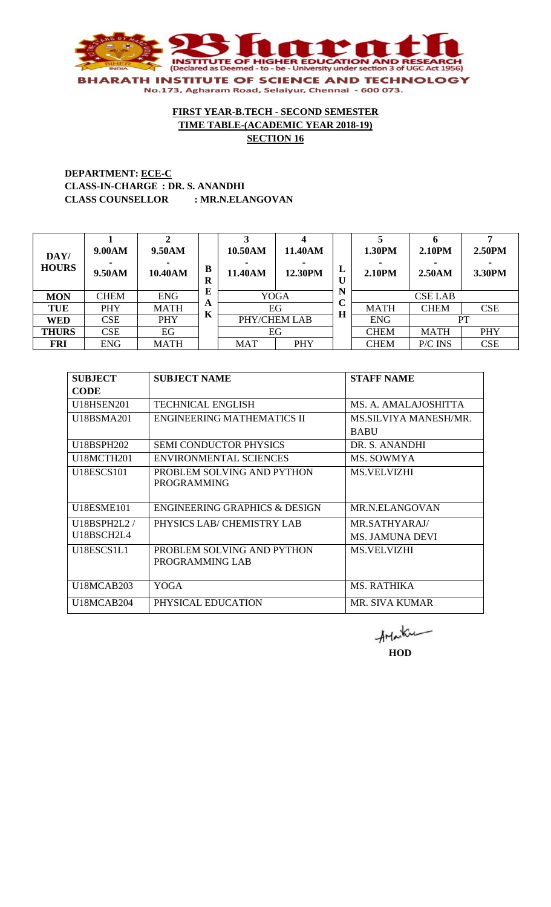

#### **DEPARTMENT: ECE-C CLASS-IN-CHARGE : DR. S. ANANDHI CLASS COUNSELLOR : MR.N.ELANGOVAN**

| DAY/<br><b>HOURS</b> | 9.00AM<br>9.50AM | 9.50AM<br>10.40AM | B<br>R | 10.50AM<br>11.40AM | 11.40AM<br>12.30PM | L<br>U | 1.30PM<br>2.10PM | <b>2.10PM</b><br>2.50AM | 2.50PM<br>3.30PM |  |
|----------------------|------------------|-------------------|--------|--------------------|--------------------|--------|------------------|-------------------------|------------------|--|
| <b>MON</b>           | <b>CHEM</b>      | <b>ENG</b>        | E      |                    | <b>YOGA</b>        | N<br>⌒ |                  | <b>CSE LAB</b>          |                  |  |
| <b>TUE</b>           | <b>PHY</b>       | <b>MATH</b>       | A<br>K |                    | EG                 | ◡<br>H | <b>MATH</b>      | <b>CHEM</b>             | <b>CSE</b>       |  |
| <b>WED</b>           | <b>CSE</b>       | <b>PHY</b>        |        |                    | PHY/CHEM LAB       |        | <b>ENG</b>       |                         | PT               |  |
| <b>THURS</b>         | <b>CSE</b>       | EG                |        | EG                 |                    |        | <b>CHEM</b>      | <b>MATH</b>             | PHY              |  |
| <b>FRI</b>           | <b>ENG</b>       | <b>MATH</b>       |        | <b>MAT</b>         | <b>PHY</b>         |        | <b>CHEM</b>      | P/C INS                 | <b>CSE</b>       |  |

| <b>SUBJECT</b>                      | <b>SUBJECT NAME</b>               | <b>STAFF NAME</b>     |
|-------------------------------------|-----------------------------------|-----------------------|
| <b>CODE</b>                         |                                   |                       |
| <b>U18HSEN201</b>                   | <b>TECHNICAL ENGLISH</b>          | MS. A. AMALAJOSHITTA  |
| U18BSMA201                          | <b>ENGINEERING MATHEMATICS II</b> | MS.SILVIYA MANESH/MR. |
|                                     |                                   | <b>BABU</b>           |
| <b>U18BSPH202</b>                   | <b>SEMI CONDUCTOR PHYSICS</b>     | DR. S. ANANDHI        |
| U <sub>18</sub> MCTH <sub>201</sub> | ENVIRONMENTAL SCIENCES            | MS. SOWMYA            |
| <b>U18ESCS101</b>                   | PROBLEM SOLVING AND PYTHON        | <b>MS VELVIZHI</b>    |
|                                     | <b>PROGRAMMING</b>                |                       |
|                                     |                                   |                       |
| U18ESME101                          | ENGINEERING GRAPHICS & DESIGN     | <b>MR.N.ELANGOVAN</b> |
| U18BSPH2L2/                         | PHYSICS LAB/ CHEMISTRY LAB        | MR.SATHYARAJ/         |
| U18BSCH2L4                          |                                   | MS. JAMUNA DEVI       |
| U18ESCS1L1                          | PROBLEM SOLVING AND PYTHON        | <b>MS.VELVIZHI</b>    |
|                                     | PROGRAMMING LAB                   |                       |
|                                     |                                   |                       |
| U <sub>18</sub> MCAB <sub>203</sub> | YOGA                              | <b>MS. RATHIKA</b>    |
| U <sub>18</sub> MCAB <sub>204</sub> | PHYSICAL EDUCATION                | MR. SIVA KUMAR        |

AMarku **HOD**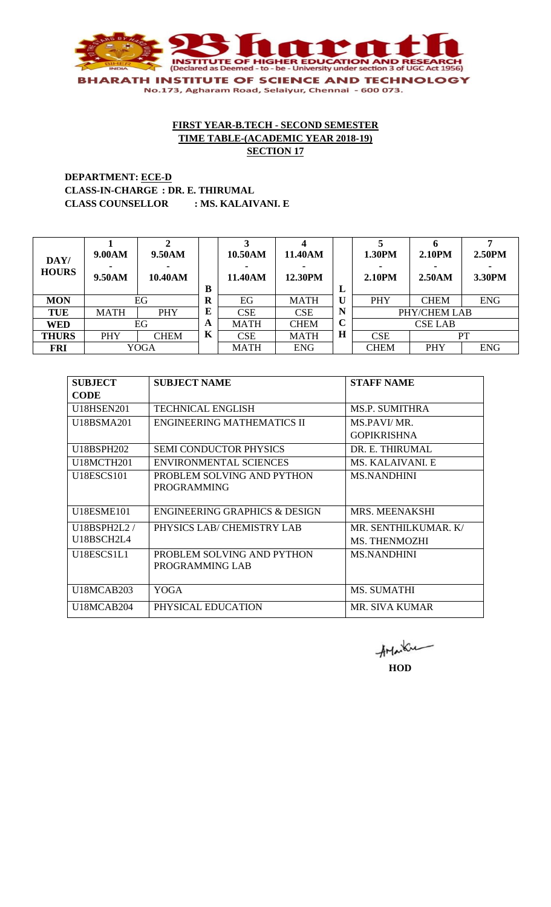

**DEPARTMENT: ECE-D CLASS-IN-CHARGE : DR. E. THIRUMAL CLASS COUNSELLOR : MS. KALAIVANI. E**

| DAY/<br><b>HOURS</b> | 9.00AM<br>9.50AM | 9.50AM<br>10.40AM | B | 10.50AM<br>11.40AM | 11.40AM<br>12.30PM | L           | 1.30PM<br><b>2.10PM</b> | 2.10 <sub>PM</sub><br>2.50AM | 2.50PM<br>3.30PM |
|----------------------|------------------|-------------------|---|--------------------|--------------------|-------------|-------------------------|------------------------------|------------------|
| <b>MON</b>           |                  | EG                | R | EG                 | <b>MATH</b>        | U           | PHY                     | <b>CHEM</b>                  | <b>ENG</b>       |
| <b>TUE</b>           | <b>MATH</b>      | PHY               | E | <b>CSE</b>         | <b>CSE</b>         | N           |                         | PHY/CHEM LAB                 |                  |
| <b>WED</b>           |                  | EG                | A | <b>MATH</b>        | <b>CHEM</b>        | $\mathbf C$ |                         | <b>CSE LAB</b>               |                  |
| <b>THURS</b>         | <b>PHY</b>       | <b>CHEM</b>       | K | <b>CSE</b>         | <b>MATH</b>        | $\mathbf H$ | <b>CSE</b>              |                              | PT               |
| <b>FRI</b>           |                  | YOGA              |   | <b>MATH</b>        | <b>ENG</b>         |             | <b>CHEM</b>             | PHY                          | <b>ENG</b>       |

| <b>SUBJECT</b>                      | <b>SUBJECT NAME</b>                      | <b>STAFF NAME</b>     |
|-------------------------------------|------------------------------------------|-----------------------|
| <b>CODE</b>                         |                                          |                       |
| <b>U18HSEN201</b>                   | <b>TECHNICAL ENGLISH</b>                 | <b>MS.P. SUMITHRA</b> |
| U18BSMA201                          | <b>ENGINEERING MATHEMATICS II</b>        | MS.PAVI/MR.           |
|                                     |                                          | <b>GOPIKRISHNA</b>    |
| U18BSPH202                          | <b>SEMI CONDUCTOR PHYSICS</b>            | DR. E. THIRUMAL       |
| U18MCTH201                          | ENVIRONMENTAL SCIENCES                   | MS. KALAIVANI. E      |
| <b>U18ESCS101</b>                   | PROBLEM SOLVING AND PYTHON               | <b>MS.NANDHINI</b>    |
|                                     | <b>PROGRAMMING</b>                       |                       |
|                                     |                                          |                       |
| <b>U18ESME101</b>                   | <b>ENGINEERING GRAPHICS &amp; DESIGN</b> | <b>MRS. MEENAKSHI</b> |
| U18BSPH2L2/                         | PHYSICS LAB/ CHEMISTRY LAB               | MR. SENTHILKUMAR. K/  |
| U18BSCH2L4                          |                                          | <b>MS. THENMOZHI</b>  |
| U18ESCS1L1                          | PROBLEM SOLVING AND PYTHON               | <b>MS.NANDHINI</b>    |
|                                     | PROGRAMMING LAB                          |                       |
|                                     |                                          |                       |
| <b>U18MCAB203</b>                   | <b>YOGA</b>                              | <b>MS. SUMATHI</b>    |
| U <sub>18</sub> MCAB <sub>204</sub> | PHYSICAL EDUCATION                       | MR. SIVA KUMAR        |

AMarku **HOD**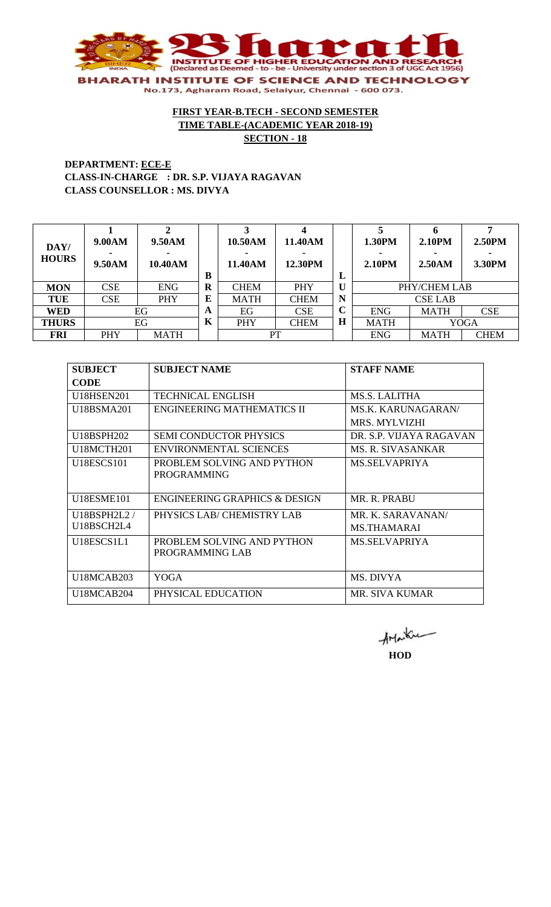

#### **DEPARTMENT: ECE-E CLASS-IN-CHARGE : DR. S.P. VIJAYA RAGAVAN CLASS COUNSELLOR : MS. DIVYA**

| DAY/<br><b>HOURS</b> | 9.00AM<br>9.50AM | 9.50AM<br>10.40AM | B        | 10.50AM<br>11.40AM        | 11.40AM<br>12.30PM | L           | 1.30PM<br>$2.10$ PM | 2.10PM<br>2.50AM          | 2.50PM<br>3.30PM |
|----------------------|------------------|-------------------|----------|---------------------------|--------------------|-------------|---------------------|---------------------------|------------------|
| <b>MON</b>           | <b>CSE</b>       | <b>ENG</b>        | $\bf{R}$ | <b>CHEM</b>               | <b>PHY</b>         | U           |                     | PHY/CHEM LAB              |                  |
| <b>TUE</b>           | <b>CSE</b>       | PHY               | E        | <b>MATH</b>               | <b>CHEM</b>        | N           |                     | <b>CSE LAB</b>            |                  |
| <b>WED</b>           |                  | EG                | A        | EG                        | <b>CSE</b>         | $\mathbf C$ | <b>ENG</b>          | <b>CSE</b><br><b>MATH</b> |                  |
| <b>THURS</b>         |                  | EG                | K        | <b>PHY</b><br><b>CHEM</b> |                    | H           | <b>MATH</b>         |                           | <b>YOGA</b>      |
| <b>FRI</b>           | <b>PHY</b>       | <b>MATH</b>       |          |                           | PT                 |             | <b>ENG</b>          | MATH                      | <b>CHEM</b>      |

| <b>SUBJECT</b>                      | <b>SUBJECT NAME</b>           | <b>STAFF NAME</b>         |
|-------------------------------------|-------------------------------|---------------------------|
| <b>CODE</b>                         |                               |                           |
| <b>U18HSEN201</b>                   | <b>TECHNICAL ENGLISH</b>      | <b>MS.S. LALITHA</b>      |
| U18BSMA201                          | ENGINEERING MATHEMATICS II    | <b>MS.K. KARUNAGARAN/</b> |
|                                     |                               | <b>MRS. MYLVIZHI</b>      |
| U18BSPH202                          | <b>SEMI CONDUCTOR PHYSICS</b> | DR. S.P. VIJAYA RAGAVAN   |
| U18MCTH201                          | <b>ENVIRONMENTAL SCIENCES</b> | MS. R. SIVASANKAR         |
| <b>U18ESCS101</b>                   | PROBLEM SOLVING AND PYTHON    | <b>MS.SELVAPRIYA</b>      |
|                                     | <b>PROGRAMMING</b>            |                           |
|                                     |                               |                           |
| U18ESME101                          | ENGINEERING GRAPHICS & DESIGN | MR. R. PRABU              |
| U18BSPH2L2/                         | PHYSICS LAB/ CHEMISTRY LAB    | MR. K. SARAVANAN/         |
| U18BSCH2L4                          |                               | <b>MS THAMARAI</b>        |
| U18ESCS1L1                          | PROBLEM SOLVING AND PYTHON    | <b>MS.SELVAPRIYA</b>      |
|                                     | PROGRAMMING LAB               |                           |
|                                     |                               |                           |
| U <sub>18</sub> MCAB <sub>203</sub> | YOGA                          | MS. DIVYA                 |
| U18MCAB204                          | PHYSICAL EDUCATION            | MR. SIVA KUMAR            |

AMarku **HOD**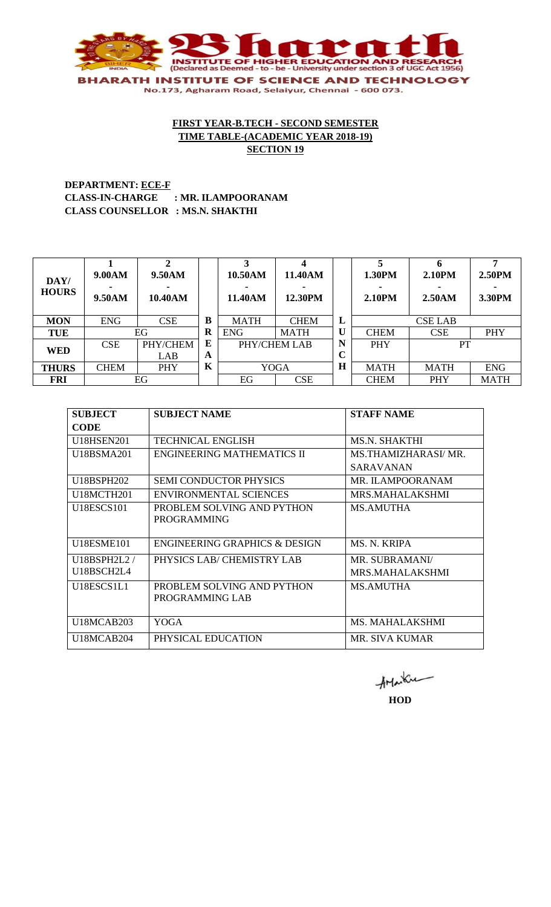

**DEPARTMENT: ECE-F CLASS-IN-CHARGE : MR. ILAMPOORANAM CLASS COUNSELLOR : MS.N. SHAKTHI**

| DAY/<br><b>HOURS</b> | 9.00AM<br>9.50AM | 9.50AM<br>10.40AM |        | 10.50AM<br>11.40AM | 11.40AM<br>12.30PM |                  | 1.30PM<br>2.10PM | <b>2.10PM</b><br>2.50AM | 2.50PM<br>3.30PM |
|----------------------|------------------|-------------------|--------|--------------------|--------------------|------------------|------------------|-------------------------|------------------|
| <b>MON</b>           | <b>ENG</b>       | <b>CSE</b>        | В      | <b>MATH</b>        | <b>CHEM</b>        | L                |                  | <b>CSE LAB</b>          |                  |
| TUE                  |                  | EG                | R      | <b>ENG</b>         | <b>MATH</b>        | U                | <b>CHEM</b>      | <b>CSE</b>              | <b>PHY</b>       |
| <b>WED</b>           | <b>CSE</b>       | PHY/CHEM<br>LAB   | Е<br>A | PHY/CHEM LAB       |                    | N<br>$\mathbf C$ | <b>PHY</b>       | PT                      |                  |
| <b>THURS</b>         | <b>CHEM</b>      | PHY               | K      |                    | <b>YOGA</b>        | H                | <b>MATH</b>      | <b>MATH</b>             | <b>ENG</b>       |
| <b>FRI</b>           |                  | EG                |        | EG                 | <b>CSE</b>         |                  | <b>CHEM</b>      | PHY                     | <b>MATH</b>      |

| <b>SUBJECT</b>    | <b>SUBJECT NAME</b>                      | <b>STAFF NAME</b>           |
|-------------------|------------------------------------------|-----------------------------|
| <b>CODE</b>       |                                          |                             |
| <b>U18HSEN201</b> | <b>TECHNICAL ENGLISH</b>                 | <b>MS.N. SHAKTHI</b>        |
| U18BSMA201        | ENGINEERING MATHEMATICS II               | <b>MS.THAMIZHARASI/ MR.</b> |
|                   |                                          | <b>SARAVANAN</b>            |
| U18BSPH202        | <b>SEMI CONDUCTOR PHYSICS</b>            | <b>MR. ILAMPOORANAM</b>     |
| U18MCTH201        | <b>ENVIRONMENTAL SCIENCES</b>            | MRS.MAHALAKSHMI             |
| <b>U18ESCS101</b> | PROBLEM SOLVING AND PYTHON               | <b>MS.AMUTHA</b>            |
|                   | <b>PROGRAMMING</b>                       |                             |
|                   |                                          |                             |
| <b>U18ESME101</b> | <b>ENGINEERING GRAPHICS &amp; DESIGN</b> | MS. N. KRIPA                |
| U18BSPH2L2/       | PHYSICS LAB/ CHEMISTRY LAB               | <b>MR. SUBRAMANI/</b>       |
| U18BSCH2L4        |                                          | MRS.MAHALAKSHMI             |
| U18ESCS1L1        | PROBLEM SOLVING AND PYTHON               | <b>MS.AMUTHA</b>            |
|                   | PROGRAMMING LAB                          |                             |
|                   |                                          |                             |
| <b>U18MCAB203</b> | YOGA                                     | <b>MS. MAHALAKSHMI</b>      |
| U18MCAB204        | PHYSICAL EDUCATION                       | MR. SIVA KUMAR              |

AMarku **HOD**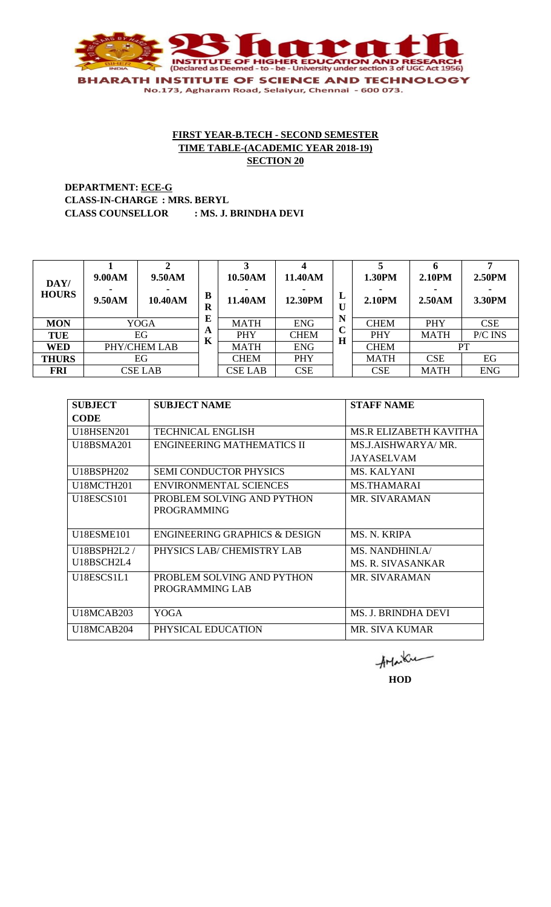

**DEPARTMENT: ECE-G CLASS-IN-CHARGE : MRS. BERYL CLASS COUNSELLOR : MS. J. BRINDHA DEVI**

| DAY/<br><b>HOURS</b> | 9.00AM<br>9.50AM | 9.50AM<br>10.40AM | B<br>R | 10.50AM<br>11.40AM | 11.40AM<br>12.30PM | L<br>υ       | 1.30PM<br>2.10 <sub>PM</sub> | 2.10PM<br>2.50AM | 2.50PM<br>3.30PM |
|----------------------|------------------|-------------------|--------|--------------------|--------------------|--------------|------------------------------|------------------|------------------|
| <b>MON</b>           |                  | <b>YOGA</b>       | E      | <b>MATH</b>        | <b>ENG</b>         | N            | <b>CHEM</b>                  | PHY              | <b>CSE</b>       |
| TUE                  |                  | EG                | A<br>K | PHY                | <b>CHEM</b>        | ╰<br>$\bf H$ | <b>PHY</b>                   | <b>MATH</b>      | P/C INS          |
| <b>WED</b>           | PHY/CHEM LAB     |                   |        | <b>MATH</b>        | <b>ENG</b>         |              | <b>CHEM</b>                  |                  | PT               |
| <b>THURS</b>         |                  | EG                |        | <b>CHEM</b>        | <b>PHY</b>         |              | <b>MATH</b>                  | <b>CSE</b>       | EG               |
| <b>FRI</b>           |                  | <b>CSE LAB</b>    |        | <b>CSE LAB</b>     | <b>CSE</b>         |              | <b>CSE</b>                   | <b>MATH</b>      | <b>ENG</b>       |

| <b>SUBJECT</b>    | <b>SUBJECT NAME</b>                              | <b>STAFF NAME</b>             |
|-------------------|--------------------------------------------------|-------------------------------|
| <b>CODE</b>       |                                                  |                               |
| <b>U18HSEN201</b> | <b>TECHNICAL ENGLISH</b>                         | <b>MS.R ELIZABETH KAVITHA</b> |
| U18BSMA201        | <b>ENGINEERING MATHEMATICS II</b>                | MS.J.AISHWARYA/MR.            |
|                   |                                                  | JAYASELVAM                    |
| U18BSPH202        | <b>SEMI CONDUCTOR PHYSICS</b>                    | <b>MS. KALYANI</b>            |
| U18MCTH201        | ENVIRONMENTAL SCIENCES                           | <b>MS.THAMARAI</b>            |
| <b>U18ESCS101</b> | PROBLEM SOLVING AND PYTHON<br><b>PROGRAMMING</b> | MR. SIVARAMAN                 |
| U18ESME101        | <b>ENGINEERING GRAPHICS &amp; DESIGN</b>         | MS. N. KRIPA                  |
| U18BSPH2L2/       | PHYSICS LAB/ CHEMISTRY LAB                       | MS. NANDHINI.A/               |
| U18BSCH2L4        |                                                  | MS. R. SIVASANKAR             |
| U18ESCS1L1        | PROBLEM SOLVING AND PYTHON<br>PROGRAMMING LAB    | MR. SIVARAMAN                 |
| <b>U18MCAB203</b> | YOGA                                             | <b>MS. J. BRINDHA DEVI</b>    |
| U18MCAB204        | PHYSICAL EDUCATION                               | <b>MR. SIVA KUMAR</b>         |

AMarku

**HOD**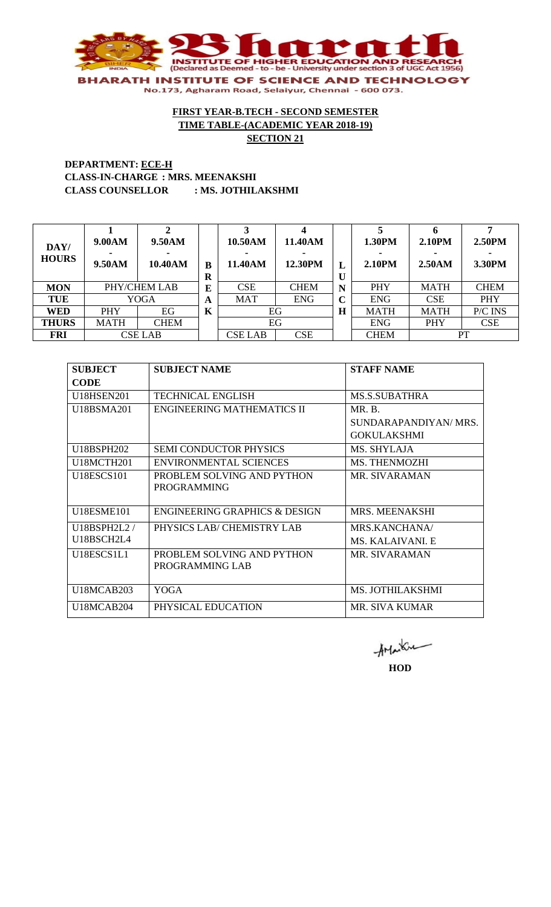

#### **DEPARTMENT: ECE-H CLASS-IN-CHARGE : MRS. MEENAKSHI CLASS COUNSELLOR : MS. JOTHILAKSHMI**

| DAY/<br><b>HOURS</b> | 9.00AM<br>9.50AM | 9.50AM<br>10.40AM | B<br>R | 10.50AM<br>11.40AM | 11.40AM<br>12.30PM |   | 1.30PM<br><b>2.10PM</b> | 2.10PM<br>2.50AM | 2.50PM<br>3.30PM |
|----------------------|------------------|-------------------|--------|--------------------|--------------------|---|-------------------------|------------------|------------------|
| <b>MON</b>           |                  | PHY/CHEM LAB      | E      | <b>CSE</b>         | <b>CHEM</b>        | N | PHY                     | <b>MATH</b>      | <b>CHEM</b>      |
| <b>TUE</b>           |                  | <b>YOGA</b>       | A      | <b>MAT</b>         | ENG                | C | <b>ENG</b>              | <b>CSE</b>       | <b>PHY</b>       |
| WED                  | <b>PHY</b>       | EG                | K      |                    | EG                 | Н | <b>MATH</b>             | <b>MATH</b>      | P/C INS          |
| <b>THURS</b>         | <b>MATH</b>      | <b>CHEM</b>       |        | EG                 |                    |   | <b>ENG</b>              | <b>PHY</b>       | <b>CSE</b>       |
| <b>FRI</b>           |                  | <b>CSE LAB</b>    |        | <b>CSE LAB</b>     | <b>CSE</b>         |   | <b>CHEM</b>             |                  | PT               |

| <b>SUBJECT</b>                      | <b>SUBJECT NAME</b>                      | <b>STAFF NAME</b>       |
|-------------------------------------|------------------------------------------|-------------------------|
| <b>CODE</b>                         |                                          |                         |
| <b>U18HSEN201</b>                   | <b>TECHNICAL ENGLISH</b>                 | <b>MS.S.SUBATHRA</b>    |
| U18BSMA201                          | <b>ENGINEERING MATHEMATICS II</b>        | MR. B.                  |
|                                     |                                          | SUNDARAPANDIYAN/MRS.    |
|                                     |                                          | <b>GOKULAKSHMI</b>      |
| U18BSPH202                          | <b>SEMI CONDUCTOR PHYSICS</b>            | MS. SHYLAJA             |
| <b>U18MCTH201</b>                   | ENVIRONMENTAL SCIENCES                   | <b>MS. THENMOZHI</b>    |
| <b>U18ESCS101</b>                   | PROBLEM SOLVING AND PYTHON               | MR. SIVARAMAN           |
|                                     | <b>PROGRAMMING</b>                       |                         |
|                                     |                                          |                         |
| <b>U18ESME101</b>                   | <b>ENGINEERING GRAPHICS &amp; DESIGN</b> | <b>MRS. MEENAKSHI</b>   |
| U18BSPH2L2/                         | PHYSICS LAB/ CHEMISTRY LAB               | MRS.KANCHANA/           |
| U18BSCH2L4                          |                                          | MS. KALAIVANI. E        |
| U18ESCS1L1                          | PROBLEM SOLVING AND PYTHON               | MR. SIVARAMAN           |
|                                     | PROGRAMMING LAB                          |                         |
|                                     |                                          |                         |
| U <sub>18</sub> MCAB <sub>203</sub> | YOGA                                     | <b>MS. JOTHILAKSHMI</b> |
| U <sub>18</sub> MCAB <sub>204</sub> | PHYSICAL EDUCATION                       | <b>MR. SIVA KUMAR</b>   |

AMarku **HOD**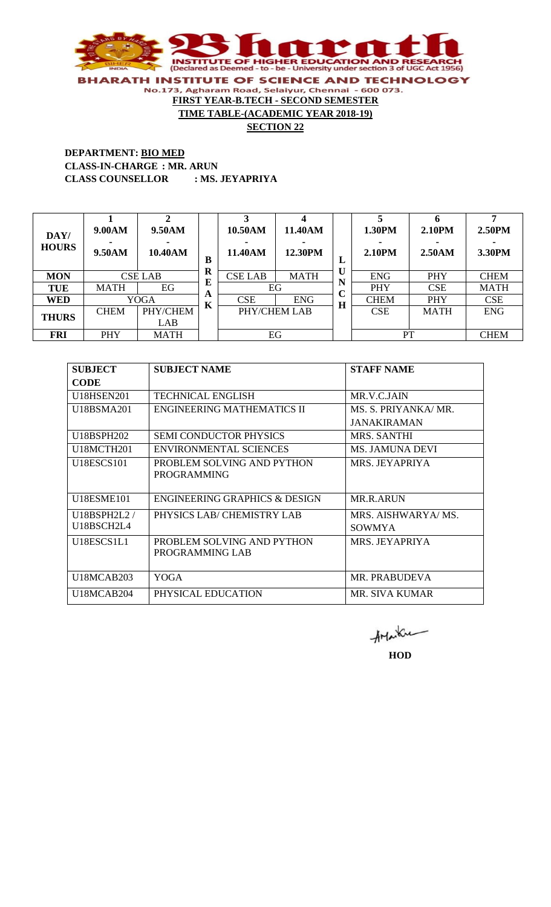

No.173, Agharam Road, Selaiyur, Chennai - 600 073.

## **DEPARTMENT: BIO MED CLASS-IN-CHARGE : MR. ARUN CLASS COUNSELLOR : MS. JEYAPRIYA**

| DAY/<br><b>HOURS</b> | 9.00AM<br>9.50AM | 9.50AM<br>10.40AM | B           | 10.50AM<br>11.40AM            | 11.40AM<br>12.30PM | L                 | 1.30PM<br>2.10PM | 2.10PM<br>2.50AM | 2.50PM<br>3.30PM |
|----------------------|------------------|-------------------|-------------|-------------------------------|--------------------|-------------------|------------------|------------------|------------------|
| <b>MON</b>           |                  | <b>CSE LAB</b>    | $\mathbf R$ | <b>MATH</b><br><b>CSE LAB</b> |                    | U                 | <b>ENG</b>       | PHY              | <b>CHEM</b>      |
| <b>TUE</b>           | <b>MATH</b>      | EG                | E           |                               | EG                 | N<br>$\mathbf{r}$ | PHY              | <b>CSE</b>       | <b>MATH</b>      |
| <b>WED</b>           |                  | <b>YOGA</b>       | A<br>K      | <b>CSE</b>                    | <b>ENG</b>         |                   | <b>CHEM</b>      | <b>PHY</b>       | <b>CSE</b>       |
| <b>THURS</b>         | <b>CHEM</b>      | PHY/CHEM          |             | PHY/CHEM LAB                  |                    | $\bf H$           | <b>CSE</b>       | <b>MATH</b>      | <b>ENG</b>       |
|                      |                  | LAB               |             |                               |                    |                   |                  |                  |                  |
| <b>FRI</b>           | <b>PHY</b>       | <b>MATH</b>       |             |                               | EG                 |                   | PT               |                  | <b>CHEM</b>      |

| <b>SUBJECT</b>    | <b>SUBJECT NAME</b>               | <b>STAFF NAME</b>      |
|-------------------|-----------------------------------|------------------------|
| <b>CODE</b>       |                                   |                        |
| U18HSEN201        | <b>TECHNICAL ENGLISH</b>          | MR.V.C.JAIN            |
| U18BSMA201        | <b>ENGINEERING MATHEMATICS II</b> | MS. S. PRIYANKA/MR.    |
|                   |                                   | <b>JANAKIRAMAN</b>     |
| <b>U18BSPH202</b> | <b>SEMI CONDUCTOR PHYSICS</b>     | <b>MRS. SANTHI</b>     |
| U18MCTH201        | <b>ENVIRONMENTAL SCIENCES</b>     | <b>MS. JAMUNA DEVI</b> |
| <b>U18ESCS101</b> | PROBLEM SOLVING AND PYTHON        | MRS. JEYAPRIYA         |
|                   | <b>PROGRAMMING</b>                |                        |
|                   |                                   |                        |
| U18ESME101        | ENGINEERING GRAPHICS & DESIGN     | <b>MR.R.ARUN</b>       |
| U18BSPH2L2/       | PHYSICS LAB/ CHEMISTRY LAB        | MRS. AISHWARYA/MS.     |
| U18BSCH2L4        |                                   | <b>SOWMYA</b>          |
| U18ESCS1L1        | PROBLEM SOLVING AND PYTHON        | MRS. JEYAPRIYA         |
|                   | PROGRAMMING LAB                   |                        |
|                   |                                   |                        |
| U18MCAB203        | <b>YOGA</b>                       | MR. PRABUDEVA          |
| U18MCAB204        | PHYSICAL EDUCATION                | MR. SIVA KUMAR         |

AMarku

**HOD**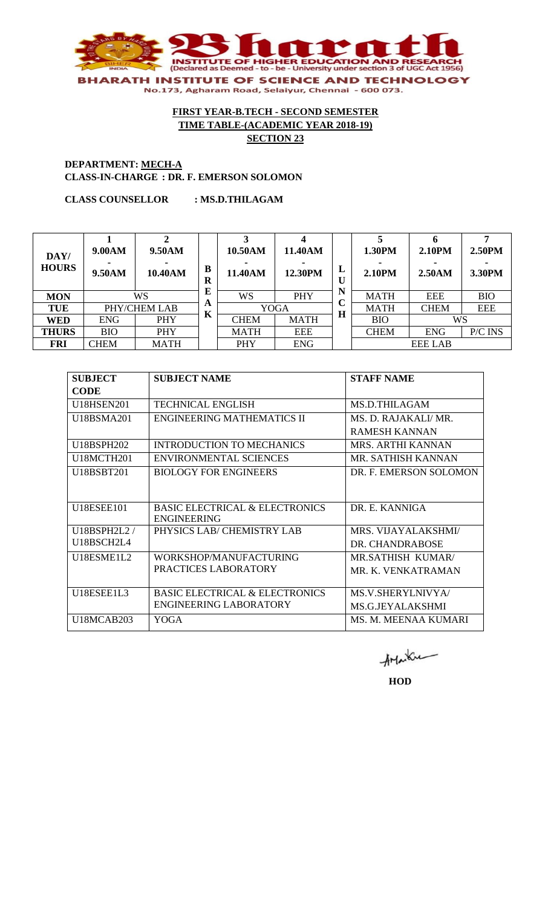

## **DEPARTMENT: MECH-A CLASS-IN-CHARGE : DR. F. EMERSON SOLOMON**

**CLASS COUNSELLOR : MS.D.THILAGAM**

| DAY/<br><b>HOURS</b> | 9.00AM<br>9.50AM | 9.50AM<br>10.40AM | B<br>R | 10.50AM<br>11.40AM | 11.40AM<br>12.30PM | ப<br>U                 | 1.30PM<br>2.10PM | <b>2.10PM</b><br>2.50AM | 2.50PM<br>3.30PM |
|----------------------|------------------|-------------------|--------|--------------------|--------------------|------------------------|------------------|-------------------------|------------------|
| <b>MON</b>           |                  | WS                | E      | WS                 | PHY                | N<br>$\mathbf{\Omega}$ | <b>MATH</b>      | <b>EEE</b>              | <b>BIO</b>       |
| <b>TUE</b>           |                  | PHY/CHEM LAB      | A<br>K |                    | <b>YOGA</b>        | ◡<br>H                 | <b>MATH</b>      | <b>CHEM</b>             | <b>EEE</b>       |
| <b>WED</b>           | <b>ENG</b>       | <b>PHY</b>        |        | <b>CHEM</b>        | <b>MATH</b>        |                        | <b>BIO</b>       | WS                      |                  |
| <b>THURS</b>         | <b>BIO</b>       | <b>PHY</b>        |        | <b>MATH</b>        | <b>EEE</b>         |                        | <b>CHEM</b>      | <b>ENG</b>              | P/C INS          |
| <b>FRI</b>           | <b>CHEM</b>      | <b>MATH</b>       |        | PHY                | <b>ENG</b>         |                        |                  | <b>EEE LAB</b>          |                  |

| <b>SUBJECT</b>    | <b>SUBJECT NAME</b>                       | <b>STAFF NAME</b>        |
|-------------------|-------------------------------------------|--------------------------|
| <b>CODE</b>       |                                           |                          |
| <b>U18HSEN201</b> | <b>TECHNICAL ENGLISH</b>                  | <b>MS.D.THILAGAM</b>     |
| U18BSMA201        | <b>ENGINEERING MATHEMATICS II</b>         | MS. D. RAJAKALI/ MR.     |
|                   |                                           | RAMESH KANNAN            |
| U18BSPH202        | <b>INTRODUCTION TO MECHANICS</b>          | MRS. ARTHI KANNAN        |
| U18MCTH201        | <b>ENVIRONMENTAL SCIENCES</b>             | MR. SATHISH KANNAN       |
| U18BSBT201        | <b>BIOLOGY FOR ENGINEERS</b>              | DR. F. EMERSON SOLOMON   |
|                   |                                           |                          |
|                   |                                           |                          |
| <b>U18ESEE101</b> | <b>BASIC ELECTRICAL &amp; ELECTRONICS</b> | DR. E. KANNIGA           |
|                   | <b>ENGINEERING</b>                        |                          |
| U18BSPH2L2 /      | PHYSICS LAB/ CHEMISTRY LAB                | MRS. VIJAYALAKSHMI/      |
| U18BSCH2L4        |                                           | DR. CHANDRABOSE          |
| U18ESME1L2        | WORKSHOP/MANUFACTURING                    | MR.SATHISH KUMAR/        |
|                   | PRACTICES LABORATORY                      | MR. K. VENKATRAMAN       |
|                   |                                           |                          |
| U18ESEE1L3        | <b>BASIC ELECTRICAL &amp; ELECTRONICS</b> | <b>MS.V.SHERYLNIVYA/</b> |
|                   | <b>ENGINEERING LABORATORY</b>             | MS.G.JEYALAKSHMI         |
| <b>U18MCAB203</b> | YOGA                                      | MS. M. MEENAA KUMARI     |

AMarku

**HOD**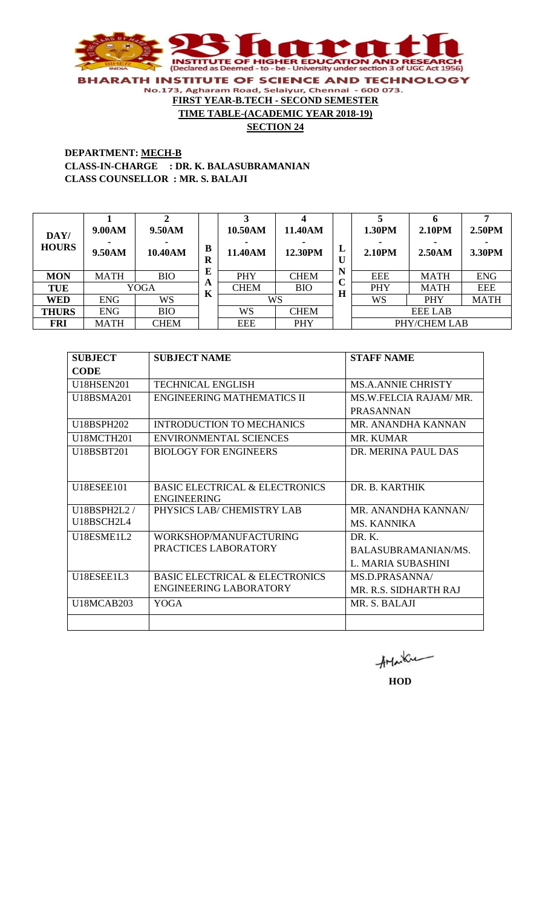

No.173, Agharam Road, Selaiyur, Chennai - 600 073. **FIRST YEAR-B.TECH - SECOND SEMESTER TIME TABLE-(ACADEMIC YEAR 2018-19)**

**SECTION 24**

#### **DEPARTMENT: MECH-B CLASS-IN-CHARGE : DR. K. BALASUBRAMANIAN CLASS COUNSELLOR : MR. S. BALAJI**

| DAY/<br><b>HOURS</b> | 9.00AM<br>9.50AM | 9.50AM<br>10.40AM | B<br>R            | 10.50AM<br>11.40AM | 11.40AM<br>12.30PM | ப<br>U           | 1.30PM<br>2.10PM | 2.10PM<br>2.50AM | 2.50PM<br>3.30PM |
|----------------------|------------------|-------------------|-------------------|--------------------|--------------------|------------------|------------------|------------------|------------------|
| <b>MON</b>           | <b>MATH</b>      | <b>BIO</b>        | E                 | <b>PHY</b>         | <b>CHEM</b>        | N<br>$\mathbf C$ | <b>EEE</b>       | <b>MATH</b>      | <b>ENG</b>       |
| <b>TUE</b>           |                  | <b>YOGA</b>       | A<br>$\mathbf{r}$ | <b>CHEM</b>        | <b>BIO</b>         | ◡<br>H           | PHY              | <b>MATH</b>      | <b>EEE</b>       |
| <b>WED</b>           | <b>ENG</b>       | WS                | A                 |                    | WS                 |                  | <b>WS</b>        | <b>PHY</b>       | <b>MATH</b>      |
| <b>THURS</b>         | <b>ENG</b>       | <b>BIO</b>        |                   | <b>WS</b>          | <b>CHEM</b>        |                  |                  | <b>EEE LAB</b>   |                  |
| <b>FRI</b>           | <b>MATH</b>      | <b>CHEM</b>       |                   | <b>EEE</b>         | PHY                |                  |                  | PHY/CHEM LAB     |                  |

| <b>SUBJECT</b>    | <b>SUBJECT NAME</b>                       | <b>STAFF NAME</b>         |
|-------------------|-------------------------------------------|---------------------------|
| <b>CODE</b>       |                                           |                           |
| <b>U18HSEN201</b> | <b>TECHNICAL ENGLISH</b>                  | <b>MS.A.ANNIE CHRISTY</b> |
| U18BSMA201        | <b>ENGINEERING MATHEMATICS II</b>         | MS.W.FELCIA RAJAM/MR.     |
|                   |                                           | <b>PRASANNAN</b>          |
| U18BSPH202        | <b>INTRODUCTION TO MECHANICS</b>          | MR. ANANDHA KANNAN        |
| U18MCTH201        | <b>ENVIRONMENTAL SCIENCES</b>             | <b>MR. KUMAR</b>          |
| U18BSBT201        | <b>BIOLOGY FOR ENGINEERS</b>              | DR. MERINA PAUL DAS       |
|                   |                                           |                           |
| <b>U18ESEE101</b> | <b>BASIC ELECTRICAL &amp; ELECTRONICS</b> | DR. B. KARTHIK            |
|                   | <b>ENGINEERING</b>                        |                           |
| U18BSPH2L2/       | PHYSICS LAB/ CHEMISTRY LAB                | MR. ANANDHA KANNAN/       |
| U18BSCH2L4        |                                           | MS. KANNIKA               |
| U18ESME1L2        | WORKSHOP/MANUFACTURING                    | $DR$ . K.                 |
|                   | PRACTICES LABORATORY                      | BALASUBRAMANIAN/MS.       |
|                   |                                           | L. MARIA SUBASHINI        |
| U18ESEE1L3        | <b>BASIC ELECTRICAL &amp; ELECTRONICS</b> | <b>MS.D.PRASANNA/</b>     |
|                   | <b>ENGINEERING LABORATORY</b>             | MR. R.S. SIDHARTH RAJ     |
| <b>U18MCAB203</b> | YOGA                                      | MR. S. BALAJI             |
|                   |                                           |                           |

AMarku

**HOD**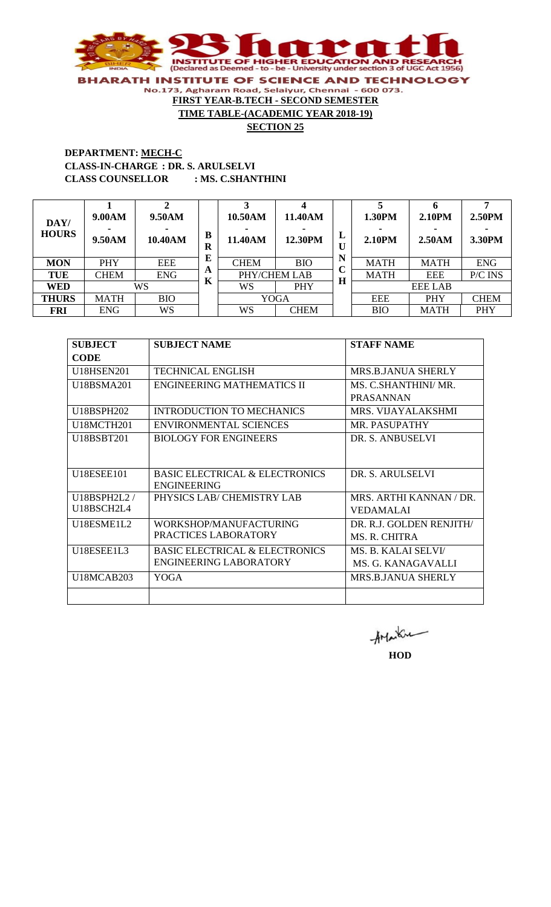

No.173, Agharam Road, Selaiyur, Chennai - 600 073.

#### **DEPARTMENT: MECH-C CLASS-IN-CHARGE : DR. S. ARULSELVI CLASS COUNSELLOR : MS. C.SHANTHINI**

| DAY/<br><b>HOURS</b> | 9.00AM<br>9.50AM | 9.50AM<br>10.40AM | B<br>$\bf R$ | 10.50AM<br>11.40AM | 11.40AM<br>12.30PM | ப<br>$\bf{U}$ | 1.30PM<br>2.10 <sub>PM</sub> | 2.10PM<br>2.50AM | 2.50PM<br>3.30PM |
|----------------------|------------------|-------------------|--------------|--------------------|--------------------|---------------|------------------------------|------------------|------------------|
| <b>MON</b>           | <b>PHY</b>       | <b>EEE</b>        | E            | <b>CHEM</b>        | <b>BIO</b>         | N<br>⌒        | <b>MATH</b>                  | <b>MATH</b>      | <b>ENG</b>       |
| <b>TUE</b>           | <b>CHEM</b>      | <b>ENG</b>        | A<br>K       |                    | PHY/CHEM LAB       | ◡<br>H        | <b>MATH</b>                  | <b>EEE</b>       | P/C INS          |
| <b>WED</b>           |                  | WS                |              | <b>WS</b>          | PHY                |               |                              | <b>EEE LAB</b>   |                  |
| <b>THURS</b>         | <b>MATH</b>      | <b>BIO</b>        |              |                    | <b>YOGA</b>        |               | <b>EEE</b>                   | PHY              | <b>CHEM</b>      |
| <b>FRI</b>           | <b>ENG</b>       | WS                |              | <b>WS</b>          | <b>CHEM</b>        |               | <b>BIO</b>                   | <b>MATH</b>      | PHY              |

| <b>SUBJECT</b>    | <b>SUBJECT NAME</b>                       | <b>STAFF NAME</b>         |
|-------------------|-------------------------------------------|---------------------------|
| <b>CODE</b>       |                                           |                           |
| <b>U18HSEN201</b> | <b>TECHNICAL ENGLISH</b>                  | MRS.B.JANUA SHERLY        |
| U18BSMA201        | ENGINEERING MATHEMATICS II                | MS. C.SHANTHINI/MR.       |
|                   |                                           | <b>PRASANNAN</b>          |
| <b>U18BSPH202</b> | <b>INTRODUCTION TO MECHANICS</b>          | MRS. VIJAYALAKSHMI        |
| U18MCTH201        | <b>ENVIRONMENTAL SCIENCES</b>             | MR. PASUPATHY             |
| <b>U18BSBT201</b> | <b>BIOLOGY FOR ENGINEERS</b>              | DR. S. ANBUSELVI          |
|                   |                                           |                           |
| <b>U18ESEE101</b> | <b>BASIC ELECTRICAL &amp; ELECTRONICS</b> | DR. S. ARULSELVI          |
|                   | <b>ENGINEERING</b>                        |                           |
| U18BSPH2L2/       | PHYSICS LAB/ CHEMISTRY LAB                | MRS. ARTHI KANNAN / DR.   |
| U18BSCH2L4        |                                           | <b>VEDAMALAI</b>          |
| U18ESME1L2        | WORKSHOP/MANUFACTURING                    | DR. R.J. GOLDEN RENJITH/  |
|                   | PRACTICES LABORATORY                      | MS. R. CHITRA             |
| U18ESEE1L3        | <b>BASIC ELECTRICAL &amp; ELECTRONICS</b> | MS. B. KALAI SELVI/       |
|                   | <b>ENGINEERING LABORATORY</b>             | MS. G. KANAGAVALLI        |
| <b>U18MCAB203</b> | YOGA                                      | <b>MRS.B.JANUA SHERLY</b> |
|                   |                                           |                           |

AMarku **HOD**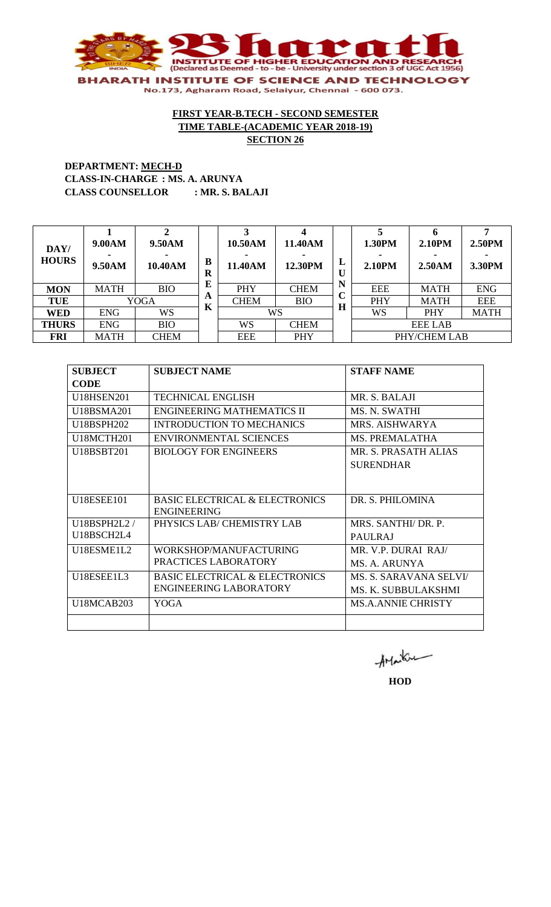

## **DEPARTMENT: MECH-D CLASS-IN-CHARGE : MS. A. ARUNYA CLASS COUNSELLOR : MR. S. BALAJI**

| DAY/<br><b>HOURS</b> | 9.00AM<br>9.50AM | 9.50AM<br>10.40AM | B<br>R | 10.50AM<br>11.40AM | 11.40AM<br>12.30PM | L<br>U           | 1.30PM<br><b>2.10PM</b> | <b>2.10PM</b><br>2.50AM | 2.50PM<br>3.30PM |
|----------------------|------------------|-------------------|--------|--------------------|--------------------|------------------|-------------------------|-------------------------|------------------|
| <b>MON</b>           | <b>MATH</b>      | <b>BIO</b>        | E      | PHY                | <b>CHEM</b>        | N<br>$\mathbf C$ | <b>EEE</b>              | <b>MATH</b>             | <b>ENG</b>       |
| <b>TUE</b>           |                  | YOGA              | A<br>K | <b>CHEM</b>        | <b>BIO</b>         | H                | PHY                     | <b>MATH</b>             | <b>EEE</b>       |
| <b>WED</b>           | <b>ENG</b>       | <b>WS</b>         |        |                    | WS                 |                  | <b>WS</b>               | PHY                     | <b>MATH</b>      |
| <b>THURS</b>         | <b>ENG</b>       | <b>BIO</b>        |        | <b>WS</b>          | <b>CHEM</b>        |                  |                         | <b>EEE LAB</b>          |                  |
| <b>FRI</b>           | <b>MATH</b>      | <b>CHEM</b>       |        | <b>EEE</b>         | PHY                |                  |                         | PHY/CHEM LAB            |                  |

| <b>SUBJECT</b>    | <b>SUBJECT NAME</b>                                             | <b>STAFF NAME</b>         |
|-------------------|-----------------------------------------------------------------|---------------------------|
| <b>CODE</b>       |                                                                 |                           |
| <b>U18HSEN201</b> | <b>TECHNICAL ENGLISH</b>                                        | MR. S. BALAJI             |
| U18BSMA201        | <b>ENGINEERING MATHEMATICS II</b>                               | MS. N. SWATHI             |
| U18BSPH202        | <b>INTRODUCTION TO MECHANICS</b>                                | MRS. AISHWARYA            |
| U18MCTH201        | <b>ENVIRONMENTAL SCIENCES</b>                                   | <b>MS. PREMALATHA</b>     |
| U18BSBT201        | <b>BIOLOGY FOR ENGINEERS</b>                                    | MR. S. PRASATH ALIAS      |
|                   |                                                                 | <b>SURENDHAR</b>          |
|                   |                                                                 |                           |
| <b>U18ESEE101</b> | <b>BASIC ELECTRICAL &amp; ELECTRONICS</b><br><b>ENGINEERING</b> | DR. S. PHILOMINA          |
| U18BSPH2L2/       | PHYSICS LAB/ CHEMISTRY LAB                                      | MRS. SANTHI/ DR. P.       |
| U18BSCH2L4        |                                                                 | <b>PAULRAJ</b>            |
| U18ESME1L2        | WORKSHOP/MANUFACTURING                                          | MR. V.P. DURAI RAJ/       |
|                   | PRACTICES LABORATORY                                            | MS. A. ARUNYA             |
| U18ESEE1L3        | <b>BASIC ELECTRICAL &amp; ELECTRONICS</b>                       | MS. S. SARAVANA SELVI/    |
|                   | <b>ENGINEERING LABORATORY</b>                                   | MS. K. SUBBULAKSHMI       |
| <b>U18MCAB203</b> | YOGA                                                            | <b>MS.A.ANNIE CHRISTY</b> |
|                   |                                                                 |                           |

AMarku

**HOD**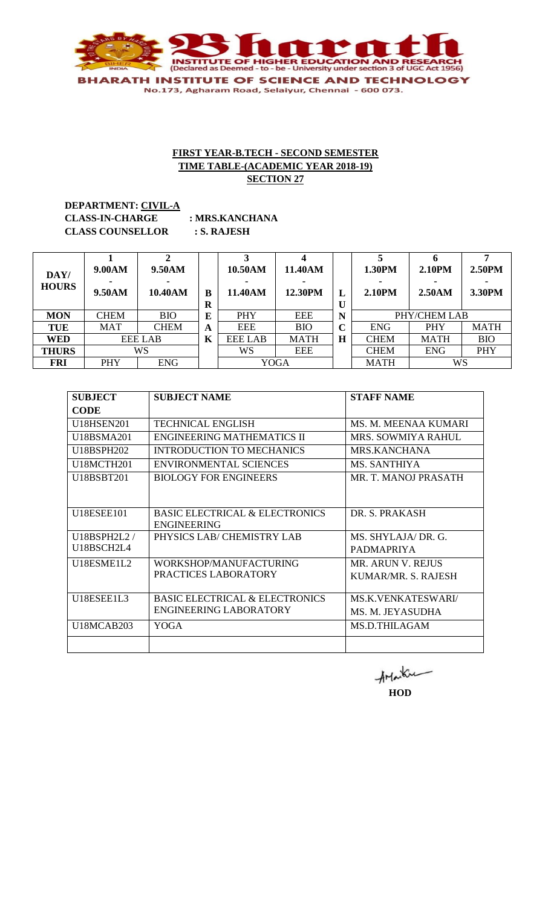

**DEPARTMENT: CIVIL-A CLASS-IN-CHARGE : MRS.KANCHANA CLASS COUNSELLOR : S. RAJESH**

| DAY/<br><b>HOURS</b> | 9.00AM<br>9.50AM | 9.50AM<br>10.40AM | B<br>R | 10.50AM<br>11.40AM | 11.40AM<br>12.30PM | L<br>U      | 1.30PM<br><b>2.10PM</b> | 2.10PM<br>2.50AM | 2.50PM<br>3.30PM |
|----------------------|------------------|-------------------|--------|--------------------|--------------------|-------------|-------------------------|------------------|------------------|
| <b>MON</b>           | <b>CHEM</b>      | <b>BIO</b>        | E      | <b>PHY</b>         | <b>EEE</b>         | N           |                         | PHY/CHEM LAB     |                  |
| <b>TUE</b>           | <b>MAT</b>       | <b>CHEM</b>       | A      | <b>EEE</b>         | <b>BIO</b>         | $\mathbf C$ | <b>ENG</b>              | <b>PHY</b>       | <b>MATH</b>      |
| <b>WED</b>           |                  | <b>EEE LAB</b>    | K      | <b>EEE LAB</b>     | <b>MATH</b>        | $\bf H$     | <b>CHEM</b>             | <b>MATH</b>      | <b>BIO</b>       |
| <b>THURS</b>         |                  | <b>WS</b>         |        | WS                 | <b>EEE</b>         |             | <b>CHEM</b>             | <b>ENG</b>       | PHY              |
| <b>FRI</b>           | PHY              | <b>ENG</b>        |        |                    | <b>YOGA</b>        |             | <b>MATH</b>             | WS               |                  |

| <b>SUBJECT</b>    | <b>SUBJECT NAME</b>                       | <b>STAFF NAME</b>        |
|-------------------|-------------------------------------------|--------------------------|
| <b>CODE</b>       |                                           |                          |
| <b>U18HSEN201</b> | <b>TECHNICAL ENGLISH</b>                  | MS. M. MEENAA KUMARI     |
| U18BSMA201        | <b>ENGINEERING MATHEMATICS II</b>         | MRS. SOWMIYA RAHUL       |
| U18BSPH202        | <b>INTRODUCTION TO MECHANICS</b>          | MRS.KANCHANA             |
| U18MCTH201        | ENVIRONMENTAL SCIENCES                    | MS. SANTHIYA             |
| U18BSBT201        | <b>BIOLOGY FOR ENGINEERS</b>              | MR. T. MANOJ PRASATH     |
|                   |                                           |                          |
|                   |                                           |                          |
| <b>U18ESEE101</b> | <b>BASIC ELECTRICAL &amp; ELECTRONICS</b> | DR. S. PRAKASH           |
|                   | <b>ENGINEERING</b>                        |                          |
| U18BSPH2L2/       | PHYSICS LAB/ CHEMISTRY LAB                | MS. SHYLAJA/DR. G.       |
| U18BSCH2L4        |                                           | <b>PADMAPRIYA</b>        |
| U18ESME1L2        | WORKSHOP/MANUFACTURING                    | <b>MR. ARUN V. REJUS</b> |
|                   | PRACTICES LABORATORY                      | KUMAR/MR. S. RAJESH      |
|                   |                                           |                          |
| U18ESEE1L3        | <b>BASIC ELECTRICAL &amp; ELECTRONICS</b> | <b>MS.K.VENKATESWARI</b> |
|                   | <b>ENGINEERING LABORATORY</b>             | MS. M. JEYASUDHA         |
| <b>U18MCAB203</b> | <b>YOGA</b>                               | <b>MS.D.THILAGAM</b>     |
|                   |                                           |                          |

AMarku **HOD**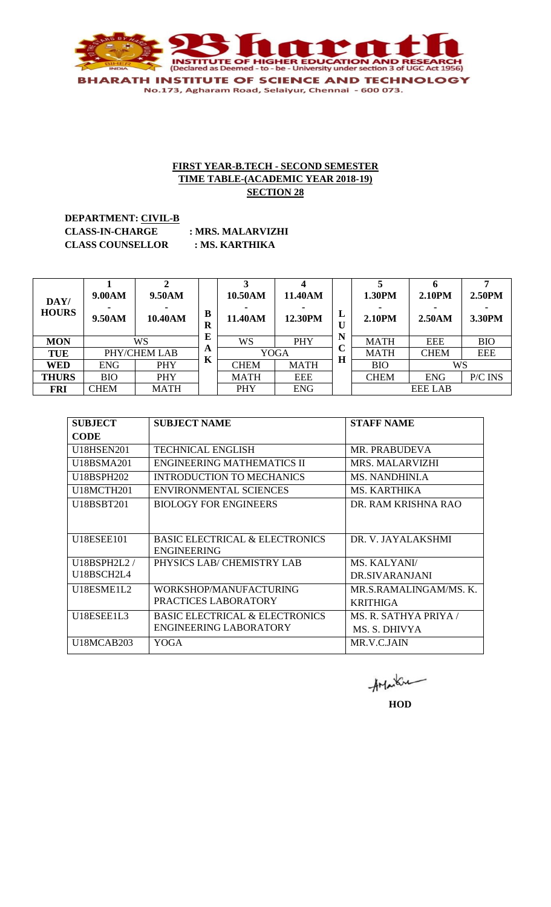

**DEPARTMENT: CIVIL-B CLASS-IN-CHARGE : MRS. MALARVIZHI CLASS COUNSELLOR : MS. KARTHIKA**

| DAY/<br><b>HOURS</b> | 9.00AM<br>9.50AM | 9.50AM<br>10.40AM | B<br>R | 10.50AM<br>11.40AM | 11.40AM<br>12.30PM | L                | 1.30PM<br>2.10PM | 2.10PM<br>2.50AM | 2.50PM<br>3.30PM |
|----------------------|------------------|-------------------|--------|--------------------|--------------------|------------------|------------------|------------------|------------------|
| <b>MON</b>           |                  | WS                | E      | <b>WS</b>          | <b>PHY</b>         | N<br>⌒           | <b>MATH</b>      | <b>EEE</b>       | <b>BIO</b>       |
| <b>TUE</b>           |                  | PHY/CHEM LAB      | A<br>K |                    | <b>YOGA</b>        | ◡<br>$\mathbf H$ | <b>MATH</b>      | <b>CHEM</b>      | <b>EEE</b>       |
| <b>WED</b>           | <b>ENG</b>       | <b>PHY</b>        |        | <b>CHEM</b>        | <b>MATH</b>        |                  | <b>BIO</b>       | WS               |                  |
| <b>THURS</b>         | <b>BIO</b>       | <b>PHY</b>        |        | <b>MATH</b>        | <b>EEE</b>         |                  | <b>CHEM</b>      | <b>ENG</b>       | P/C INS          |
| <b>FRI</b>           | <b>CHEM</b>      | <b>MATH</b>       |        | <b>PHY</b>         | <b>ENG</b>         |                  |                  | EEE LAB          |                  |

| <b>SUBJECT</b>    | <b>SUBJECT NAME</b>                       | <b>STAFF NAME</b>      |
|-------------------|-------------------------------------------|------------------------|
| <b>CODE</b>       |                                           |                        |
| <b>U18HSEN201</b> | <b>TECHNICAL ENGLISH</b>                  | MR. PRABUDEVA          |
| U18BSMA201        | <b>ENGINEERING MATHEMATICS II</b>         | <b>MRS. MALARVIZHI</b> |
| U18BSPH202        | <b>INTRODUCTION TO MECHANICS</b>          | MS. NANDHINLA          |
| <b>U18MCTH201</b> | <b>ENVIRONMENTAL SCIENCES</b>             | <b>MS. KARTHIKA</b>    |
| U18BSBT201        | <b>BIOLOGY FOR ENGINEERS</b>              | DR. RAM KRISHNA RAO    |
|                   |                                           |                        |
| <b>U18ESEE101</b> | <b>BASIC ELECTRICAL &amp; ELECTRONICS</b> | DR. V. JAYALAKSHMI     |
|                   | <b>ENGINEERING</b>                        |                        |
| U18BSPH2L2/       | PHYSICS LAB/ CHEMISTRY LAB                | <b>MS. KALYANI/</b>    |
| U18BSCH2L4        |                                           | DR.SIVARANJANI         |
| U18ESME1L2        | WORKSHOP/MANUFACTURING                    | MR.S.RAMALINGAM/MS.K.  |
|                   | PRACTICES LABORATORY                      | <b>KRITHIGA</b>        |
| U18ESEE1L3        | <b>BASIC ELECTRICAL &amp; ELECTRONICS</b> | MS. R. SATHYA PRIYA /  |
|                   | <b>ENGINEERING LABORATORY</b>             | MS. S. DHIVYA          |
| <b>U18MCAB203</b> | <b>YOGA</b>                               | MR.V.C.JAIN            |

AMarku

**HOD**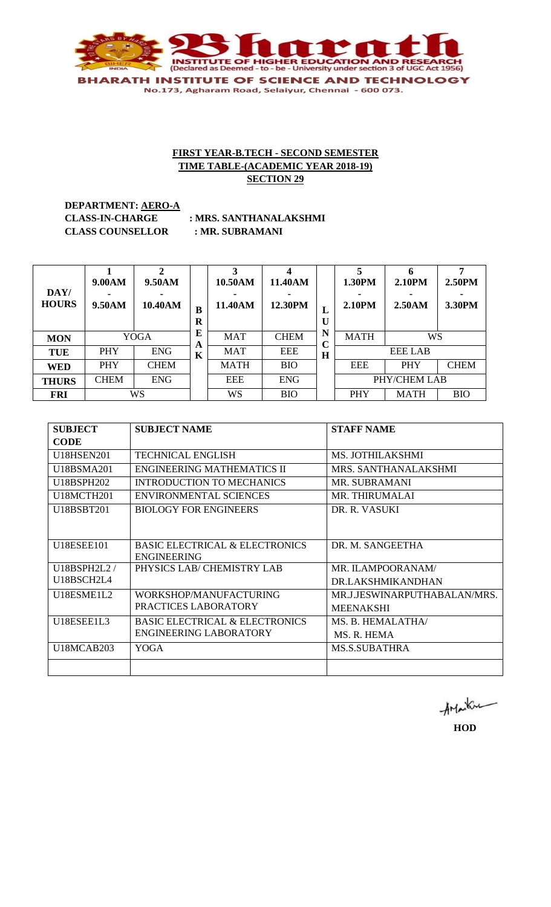

**DEPARTMENT: AERO-A CLASS COUNSELLOR : MR. SUBRAMANI**

**CLASS-IN-CHARGE : MRS. SANTHANALAKSHMI**

| DAY/<br><b>HOURS</b> | 9.00AM<br>9.50AM | 9.50AM<br>10.40AM | B<br>$\bf R$ | 10.50AM<br>11.40AM | 11.40AM<br>12.30PM | ≖<br>U           | 1.30PM<br><b>2.10PM</b> | 2.10PM<br>2.50AM | 2.50PM<br>3.30PM |
|----------------------|------------------|-------------------|--------------|--------------------|--------------------|------------------|-------------------------|------------------|------------------|
| <b>MON</b>           |                  | <b>YOGA</b>       | E            | <b>MAT</b>         | <b>CHEM</b>        | N<br>$\mathbf C$ | <b>MATH</b>             | <b>WS</b>        |                  |
| <b>TUE</b>           | <b>PHY</b>       | <b>ENG</b>        | A<br>K       | <b>MAT</b>         | <b>EEE</b>         | H                |                         | <b>EEE LAB</b>   |                  |
| <b>WED</b>           | <b>PHY</b>       | <b>CHEM</b>       |              | <b>MATH</b>        | <b>BIO</b>         |                  | <b>EEE</b>              | <b>PHY</b>       | <b>CHEM</b>      |
| <b>THURS</b>         | <b>CHEM</b>      | <b>ENG</b>        |              | <b>EEE</b>         | <b>ENG</b>         |                  |                         | PHY/CHEM LAB     |                  |
| <b>FRI</b>           |                  | <b>WS</b>         |              | <b>WS</b>          | <b>BIO</b>         |                  | PHY                     | <b>MATH</b>      | <b>BIO</b>       |

| <b>SUBJECT</b>    | <b>SUBJECT NAME</b>                       | <b>STAFF NAME</b>            |
|-------------------|-------------------------------------------|------------------------------|
| <b>CODE</b>       |                                           |                              |
| U18HSEN201        | <b>TECHNICAL ENGLISH</b>                  | <b>MS. JOTHILAKSHMI</b>      |
| U18BSMA201        | ENGINEERING MATHEMATICS II                | MRS. SANTHANALAKSHMI         |
| U18BSPH202        | <b>INTRODUCTION TO MECHANICS</b>          | <b>MR. SUBRAMANI</b>         |
| <b>U18MCTH201</b> | <b>ENVIRONMENTAL SCIENCES</b>             | <b>MR. THIRUMALAI</b>        |
| U18BSBT201        | <b>BIOLOGY FOR ENGINEERS</b>              | DR. R. VASUKI                |
|                   |                                           |                              |
| <b>U18ESEE101</b> | <b>BASIC ELECTRICAL &amp; ELECTRONICS</b> | DR. M. SANGEETHA             |
|                   | <b>ENGINEERING</b>                        |                              |
| U18BSPH2L2/       | PHYSICS LAB/ CHEMISTRY LAB                | MR. ILAMPOORANAM/            |
| U18BSCH2L4        |                                           | DR.LAKSHMIKANDHAN            |
| U18ESME1L2        | WORKSHOP/MANUFACTURING                    | MR.J.JESWINARPUTHABALAN/MRS. |
|                   | PRACTICES LABORATORY                      | <b>MEENAKSHI</b>             |
| <b>U18ESEE1L3</b> | <b>BASIC ELECTRICAL &amp; ELECTRONICS</b> | MS. B. HEMALATHA/            |
|                   | <b>ENGINEERING LABORATORY</b>             | MS. R. HEMA                  |
| <b>U18MCAB203</b> | <b>YOGA</b>                               | MS.S.SUBATHRA                |
|                   |                                           |                              |

AMarku

**HOD**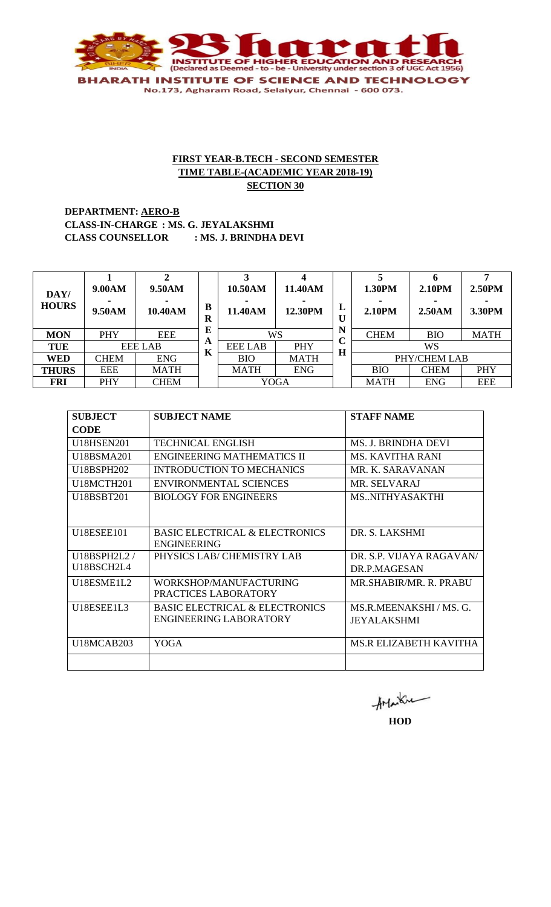

**DEPARTMENT: AERO-B CLASS-IN-CHARGE : MS. G. JEYALAKSHMI CLASS COUNSELLOR : MS. J. BRINDHA DEVI**

| DAY/<br><b>HOURS</b> | 9.00AM<br>9.50AM | 9.50AM<br>10.40AM | B<br>$\bf R$ | 10.50AM<br>11.40AM | 11.40AM<br>12.30PM | L<br>U           | 1.30PM<br>2.10PM | 2.10PM<br>2.50AM | 2.50PM<br>3.30PM |
|----------------------|------------------|-------------------|--------------|--------------------|--------------------|------------------|------------------|------------------|------------------|
| <b>MON</b>           | <b>PHY</b>       | <b>EEE</b>        | E            | WS                 |                    | N<br>$\mathbf C$ | <b>CHEM</b>      | <b>BIO</b>       | <b>MATH</b>      |
| <b>TUE</b>           |                  | EEE LAB           | A<br>K       | <b>EEE LAB</b>     | <b>PHY</b>         | $\mathbf H$      |                  | WS               |                  |
| <b>WED</b>           | <b>CHEM</b>      | <b>ENG</b>        |              | <b>BIO</b>         | <b>MATH</b>        |                  |                  | PHY/CHEM LAB     |                  |
| <b>THURS</b>         | <b>EEE</b>       | <b>MATH</b>       |              | <b>MATH</b>        | <b>ENG</b>         |                  | <b>BIO</b>       | <b>CHEM</b>      | PHY              |
| <b>FRI</b>           | PHY              | <b>CHEM</b>       |              |                    | YOGA               |                  | <b>MATH</b>      | <b>ENG</b>       | <b>EEE</b>       |

| <b>SUBJECT</b>    | <b>SUBJECT NAME</b>                       | <b>STAFF NAME</b>             |
|-------------------|-------------------------------------------|-------------------------------|
| <b>CODE</b>       |                                           |                               |
| U18HSEN201        | <b>TECHNICAL ENGLISH</b>                  | <b>MS. J. BRINDHA DEVI</b>    |
| U18BSMA201        | <b>ENGINEERING MATHEMATICS II</b>         | <b>MS. KAVITHA RANI</b>       |
| U18BSPH202        | <b>INTRODUCTION TO MECHANICS</b>          | MR K SARAVANAN                |
| U18MCTH201        | <b>ENVIRONMENTAL SCIENCES</b>             | MR. SELVARAJ                  |
| U18BSBT201        | <b>BIOLOGY FOR ENGINEERS</b>              | <b>MSNITHYASAKTHI</b>         |
|                   |                                           |                               |
|                   |                                           |                               |
| <b>U18ESEE101</b> | <b>BASIC ELECTRICAL &amp; ELECTRONICS</b> | DR. S. LAKSHMI                |
|                   | <b>ENGINEERING</b>                        |                               |
| U18BSPH2L2/       | PHYSICS LAB/ CHEMISTRY LAB                | DR. S.P. VIJAYA RAGAVAN/      |
| U18BSCH2L4        |                                           | DR.P.MAGESAN                  |
| U18ESME1L2        | WORKSHOP/MANUFACTURING                    | MR.SHABIR/MR. R. PRABU        |
|                   | PRACTICES LABORATORY                      |                               |
| U18ESEE1L3        | <b>BASIC ELECTRICAL &amp; ELECTRONICS</b> | MS.R.MEENAKSHI / MS. G.       |
|                   | ENGINEERING LABORATORY                    | <b>JEYALAKSHMI</b>            |
|                   |                                           |                               |
| <b>U18MCAB203</b> | YOGA                                      | <b>MS.R ELIZABETH KAVITHA</b> |
|                   |                                           |                               |

AMarku

**HOD**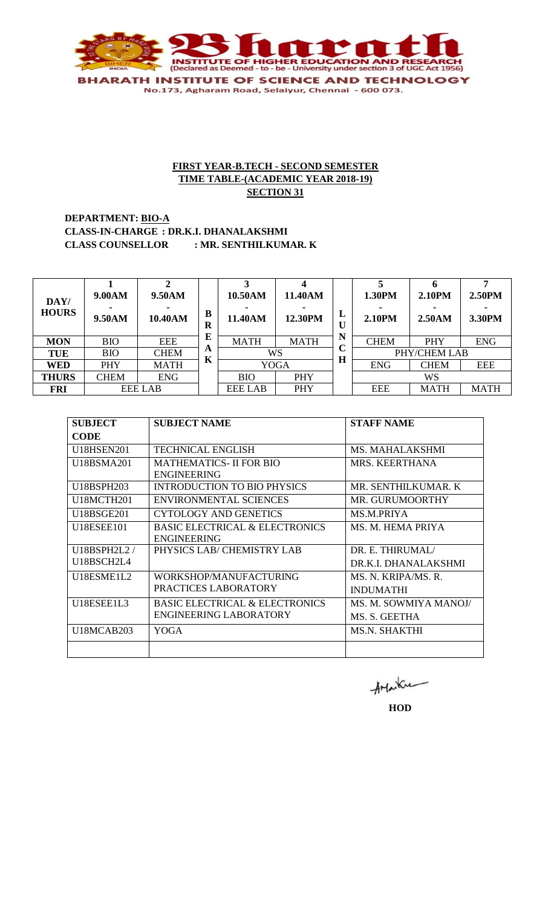

**DEPARTMENT: BIO-A CLASS-IN-CHARGE : DR.K.I. DHANALAKSHMI CLASS COUNSELLOR : MR. SENTHILKUMAR. K**

| DAY/<br><b>HOURS</b> | 9.00AM<br>9.50AM | 9.50AM<br>10.40AM | B<br>R | 10.50AM<br>11.40AM | 11.40AM<br>12.30PM | ப<br>U        | 1.30PM<br>2.10PM | <b>2.10PM</b><br>2.50AM | 2.50PM<br>3.30PM |  |
|----------------------|------------------|-------------------|--------|--------------------|--------------------|---------------|------------------|-------------------------|------------------|--|
| <b>MON</b>           | <b>BIO</b>       | <b>EEE</b>        | E      | <b>MATH</b>        | <b>MATH</b>        | N<br>$\Gamma$ | <b>CHEM</b>      | <b>PHY</b>              | <b>ENG</b>       |  |
| <b>TUE</b>           | <b>BIO</b>       | <b>CHEM</b>       | A<br>K | WS                 |                    | ◡<br>H        | PHY/CHEM LAB     |                         |                  |  |
| WED                  | PHY              | <b>MATH</b>       |        | <b>YOGA</b>        |                    |               | <b>ENG</b>       | <b>CHEM</b>             | <b>EEE</b>       |  |
| <b>THURS</b>         | <b>CHEM</b>      | <b>ENG</b>        |        | <b>BIO</b>         | PHY                |               | <b>WS</b>        |                         |                  |  |
| <b>FRI</b>           |                  | <b>EEE LAB</b>    |        | <b>EEE LAB</b>     | PHY                |               | <b>EEE</b>       | <b>MATH</b>             | <b>MATH</b>      |  |

| <b>SUBJECT</b>    | <b>SUBJECT NAME</b>                       | <b>STAFF NAME</b>      |
|-------------------|-------------------------------------------|------------------------|
| <b>CODE</b>       |                                           |                        |
| U18HSEN201        | <b>TECHNICAL ENGLISH</b>                  | <b>MS. MAHALAKSHMI</b> |
| U18BSMA201        | <b>MATHEMATICS- II FOR BIO</b>            | <b>MRS. KEERTHANA</b>  |
|                   | <b>ENGINEERING</b>                        |                        |
| U18BSPH203        | <b>INTRODUCTION TO BIO PHYSICS</b>        | MR. SENTHILKUMAR. K.   |
| U18MCTH201        | <b>ENVIRONMENTAL SCIENCES</b>             | <b>MR. GURUMOORTHY</b> |
| U18BSGE201        | <b>CYTOLOGY AND GENETICS</b>              | <b>MS.M.PRIYA</b>      |
| U18ESEE101        | <b>BASIC ELECTRICAL &amp; ELECTRONICS</b> | MS. M. HEMA PRIYA      |
|                   | <b>ENGINEERING</b>                        |                        |
| U18BSPH2L2/       | PHYSICS LAB/ CHEMISTRY LAB                | DR. E. THIRUMAL/       |
| U18BSCH2L4        |                                           | DR.K.I. DHANALAKSHMI   |
| U18ESME1L2        | WORKSHOP/MANUFACTURING                    | MS. N. KRIPA/MS. R.    |
|                   | PRACTICES LABORATORY                      | <b>INDUMATHI</b>       |
| U18ESEE1L3        | <b>BASIC ELECTRICAL &amp; ELECTRONICS</b> | MS. M. SOWMIYA MANOJ/  |
|                   | <b>ENGINEERING LABORATORY</b>             | MS. S. GEETHA          |
| <b>U18MCAB203</b> | YOGA                                      | <b>MS.N. SHAKTHI</b>   |
|                   |                                           |                        |

AMarku

**HOD**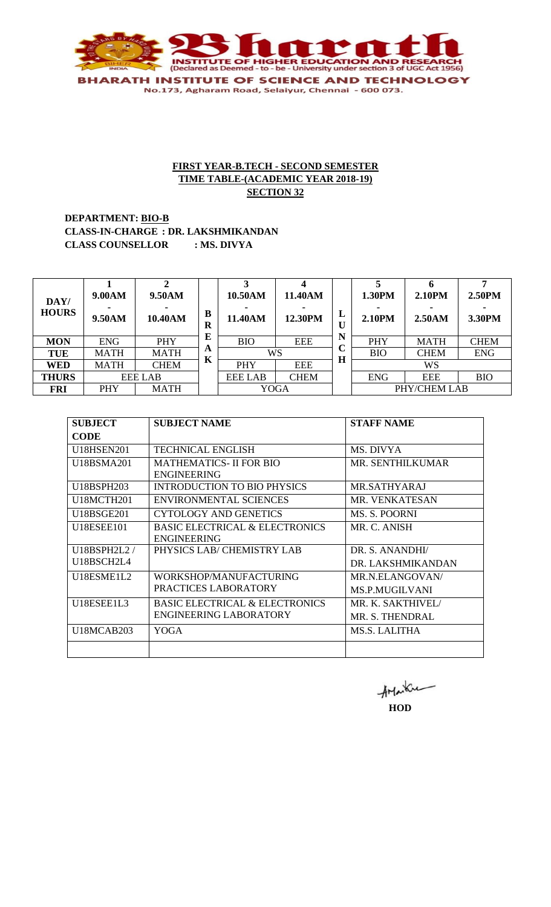

**DEPARTMENT: BIO-B CLASS-IN-CHARGE : DR. LAKSHMIKANDAN CLASS COUNSELLOR : MS. DIVYA**

| DAY/<br><b>HOURS</b> | 9.00AM<br>9.50AM | 9.50AM<br>10.40AM | B<br>R | 10.50AM<br>11.40AM | 11.40AM<br>12.30PM | L<br>Ŧ٦<br>U     | 1.30PM<br><b>2.10PM</b> | 2.10PM<br>2.50AM | 2.50PM<br>3.30PM |
|----------------------|------------------|-------------------|--------|--------------------|--------------------|------------------|-------------------------|------------------|------------------|
| <b>MON</b>           | <b>ENG</b>       | <b>PHY</b>        | Е      | <b>BIO</b>         | <b>EEE</b>         | N<br>$\mathbf C$ | PHY                     | <b>MATH</b>      | <b>CHEM</b>      |
| <b>TUE</b>           | <b>MATH</b>      | <b>MATH</b>       | A<br>K | WS                 |                    | H                | <b>BIO</b>              | <b>CHEM</b>      | <b>ENG</b>       |
| <b>WED</b>           | <b>MATH</b>      | <b>CHEM</b>       |        | <b>PHY</b>         | <b>EEE</b>         |                  |                         | WS               |                  |
| <b>THURS</b>         |                  | EEE LAB           |        | <b>EEE LAB</b>     | <b>CHEM</b>        |                  | <b>ENG</b>              | <b>EEE</b>       | <b>BIO</b>       |
| <b>FRI</b>           | <b>PHY</b>       | MATH              |        | <b>YOGA</b>        |                    |                  | PHY/CHEM LAB            |                  |                  |

| <b>SUBJECT</b>    | <b>SUBJECT NAME</b>                       | <b>STAFF NAME</b>      |
|-------------------|-------------------------------------------|------------------------|
| <b>CODE</b>       |                                           |                        |
| U18HSEN201        | <b>TECHNICAL ENGLISH</b>                  | MS. DIVYA              |
| U18BSMA201        | <b>MATHEMATICS- II FOR BIO</b>            | MR. SENTHILKUMAR       |
|                   | <b>ENGINEERING</b>                        |                        |
| U18BSPH203        | <b>INTRODUCTION TO BIO PHYSICS</b>        | <b>MR.SATHYARAJ</b>    |
| U18MCTH201        | ENVIRONMENTAL SCIENCES                    | MR. VENKATESAN         |
| <b>U18BSGE201</b> | CYTOLOGY AND GENETICS                     | MS. S. POORNI          |
| <b>U18ESEE101</b> | <b>BASIC ELECTRICAL &amp; ELECTRONICS</b> | MR. C. ANISH           |
|                   | <b>ENGINEERING</b>                        |                        |
| U18BSPH2L2/       | PHYSICS LAB/ CHEMISTRY LAB                | DR. S. ANANDHI/        |
| U18BSCH2L4        |                                           | DR. LAKSHMIKANDAN      |
| U18ESME1L2        | WORKSHOP/MANUFACTURING                    | <b>MR.N.ELANGOVAN/</b> |
|                   | PRACTICES LABORATORY                      | <b>MS.P.MUGILVANI</b>  |
| U18ESEE1L3        | <b>BASIC ELECTRICAL &amp; ELECTRONICS</b> | MR. K. SAKTHIVEL/      |
|                   | <b>ENGINEERING LABORATORY</b>             | MR. S. THENDRAL        |
| <b>U18MCAB203</b> | YOGA                                      | <b>MS.S. LALITHA</b>   |
|                   |                                           |                        |

AMarku **HOD**